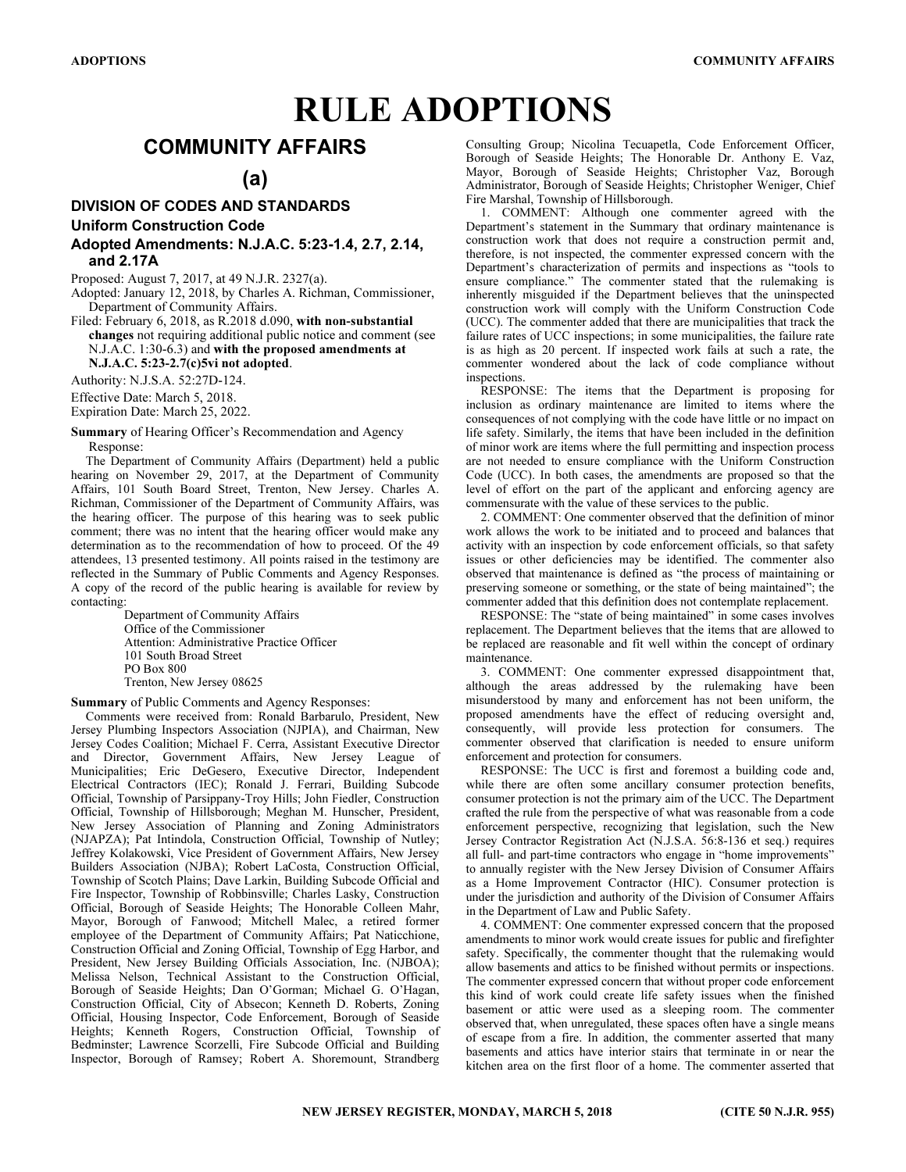# RULE ADOPTIONS

# COMMUNITY AFFAIRS

# (a)

# DIVISION OF CODES AND STANDARDS Uniform Construction Code

### Adopted Amendments: N.J.A.C. 5:23-1.4, 2.7, 2.14, and 2.17A

Proposed: August 7, 2017, at 49 N.J.R. 2327(a).

Adopted: January 12, 2018, by Charles A. Richman, Commissioner, Department of Community Affairs.

Filed: February 6, 2018, as R.2018 d.090, with non-substantial changes not requiring additional public notice and comment (see N.J.A.C. 1:30-6.3) and with the proposed amendments at N.J.A.C. 5:23-2.7(c)5vi not adopted.

Authority: N.J.S.A. 52:27D-124.

Effective Date: March 5, 2018.

Expiration Date: March 25, 2022.

Summary of Hearing Officer's Recommendation and Agency Response:

The Department of Community Affairs (Department) held a public hearing on November 29, 2017, at the Department of Community Affairs, 101 South Board Street, Trenton, New Jersey. Charles A. Richman, Commissioner of the Department of Community Affairs, was the hearing officer. The purpose of this hearing was to seek public comment; there was no intent that the hearing officer would make any determination as to the recommendation of how to proceed. Of the 49 attendees, 13 presented testimony. All points raised in the testimony are reflected in the Summary of Public Comments and Agency Responses. A copy of the record of the public hearing is available for review by contacting:

Department of Community Affairs Office of the Commissioner Attention: Administrative Practice Officer 101 South Broad Street PO Box 800 Trenton, New Jersey 08625

Summary of Public Comments and Agency Responses:

Comments were received from: Ronald Barbarulo, President, New Jersey Plumbing Inspectors Association (NJPIA), and Chairman, New Jersey Codes Coalition; Michael F. Cerra, Assistant Executive Director and Director, Government Affairs, New Jersey League of Municipalities; Eric DeGesero, Executive Director, Independent Electrical Contractors (IEC); Ronald J. Ferrari, Building Subcode Official, Township of Parsippany-Troy Hills; John Fiedler, Construction Official, Township of Hillsborough; Meghan M. Hunscher, President, New Jersey Association of Planning and Zoning Administrators (NJAPZA); Pat Intindola, Construction Official, Township of Nutley; Jeffrey Kolakowski, Vice President of Government Affairs, New Jersey Builders Association (NJBA); Robert LaCosta, Construction Official, Township of Scotch Plains; Dave Larkin, Building Subcode Official and Fire Inspector, Township of Robbinsville; Charles Lasky, Construction Official, Borough of Seaside Heights; The Honorable Colleen Mahr, Mayor, Borough of Fanwood; Mitchell Malec, a retired former employee of the Department of Community Affairs; Pat Naticchione, Construction Official and Zoning Official, Township of Egg Harbor, and President, New Jersey Building Officials Association, Inc. (NJBOA); Melissa Nelson, Technical Assistant to the Construction Official, Borough of Seaside Heights; Dan O'Gorman; Michael G. O'Hagan, Construction Official, City of Absecon; Kenneth D. Roberts, Zoning Official, Housing Inspector, Code Enforcement, Borough of Seaside Heights; Kenneth Rogers, Construction Official, Township of Bedminster; Lawrence Scorzelli, Fire Subcode Official and Building Inspector, Borough of Ramsey; Robert A. Shoremount, Strandberg

Consulting Group; Nicolina Tecuapetla, Code Enforcement Officer, Borough of Seaside Heights; The Honorable Dr. Anthony E. Vaz, Mayor, Borough of Seaside Heights; Christopher Vaz, Borough Administrator, Borough of Seaside Heights; Christopher Weniger, Chief Fire Marshal, Township of Hillsborough.

1. COMMENT: Although one commenter agreed with the Department's statement in the Summary that ordinary maintenance is construction work that does not require a construction permit and, therefore, is not inspected, the commenter expressed concern with the Department's characterization of permits and inspections as "tools to ensure compliance." The commenter stated that the rulemaking is inherently misguided if the Department believes that the uninspected construction work will comply with the Uniform Construction Code (UCC). The commenter added that there are municipalities that track the failure rates of UCC inspections; in some municipalities, the failure rate is as high as 20 percent. If inspected work fails at such a rate, the commenter wondered about the lack of code compliance without inspections.

RESPONSE: The items that the Department is proposing for inclusion as ordinary maintenance are limited to items where the consequences of not complying with the code have little or no impact on life safety. Similarly, the items that have been included in the definition of minor work are items where the full permitting and inspection process are not needed to ensure compliance with the Uniform Construction Code (UCC). In both cases, the amendments are proposed so that the level of effort on the part of the applicant and enforcing agency are commensurate with the value of these services to the public.

2. COMMENT: One commenter observed that the definition of minor work allows the work to be initiated and to proceed and balances that activity with an inspection by code enforcement officials, so that safety issues or other deficiencies may be identified. The commenter also observed that maintenance is defined as "the process of maintaining or preserving someone or something, or the state of being maintained"; the commenter added that this definition does not contemplate replacement.

RESPONSE: The "state of being maintained" in some cases involves replacement. The Department believes that the items that are allowed to be replaced are reasonable and fit well within the concept of ordinary maintenance.

3. COMMENT: One commenter expressed disappointment that, although the areas addressed by the rulemaking have been misunderstood by many and enforcement has not been uniform, the proposed amendments have the effect of reducing oversight and, consequently, will provide less protection for consumers. The commenter observed that clarification is needed to ensure uniform enforcement and protection for consumers.

RESPONSE: The UCC is first and foremost a building code and, while there are often some ancillary consumer protection benefits, consumer protection is not the primary aim of the UCC. The Department crafted the rule from the perspective of what was reasonable from a code enforcement perspective, recognizing that legislation, such the New Jersey Contractor Registration Act (N.J.S.A. 56:8-136 et seq.) requires all full- and part-time contractors who engage in "home improvements" to annually register with the New Jersey Division of Consumer Affairs as a Home Improvement Contractor (HIC). Consumer protection is under the jurisdiction and authority of the Division of Consumer Affairs in the Department of Law and Public Safety.

4. COMMENT: One commenter expressed concern that the proposed amendments to minor work would create issues for public and firefighter safety. Specifically, the commenter thought that the rulemaking would allow basements and attics to be finished without permits or inspections. The commenter expressed concern that without proper code enforcement this kind of work could create life safety issues when the finished basement or attic were used as a sleeping room. The commenter observed that, when unregulated, these spaces often have a single means of escape from a fire. In addition, the commenter asserted that many basements and attics have interior stairs that terminate in or near the kitchen area on the first floor of a home. The commenter asserted that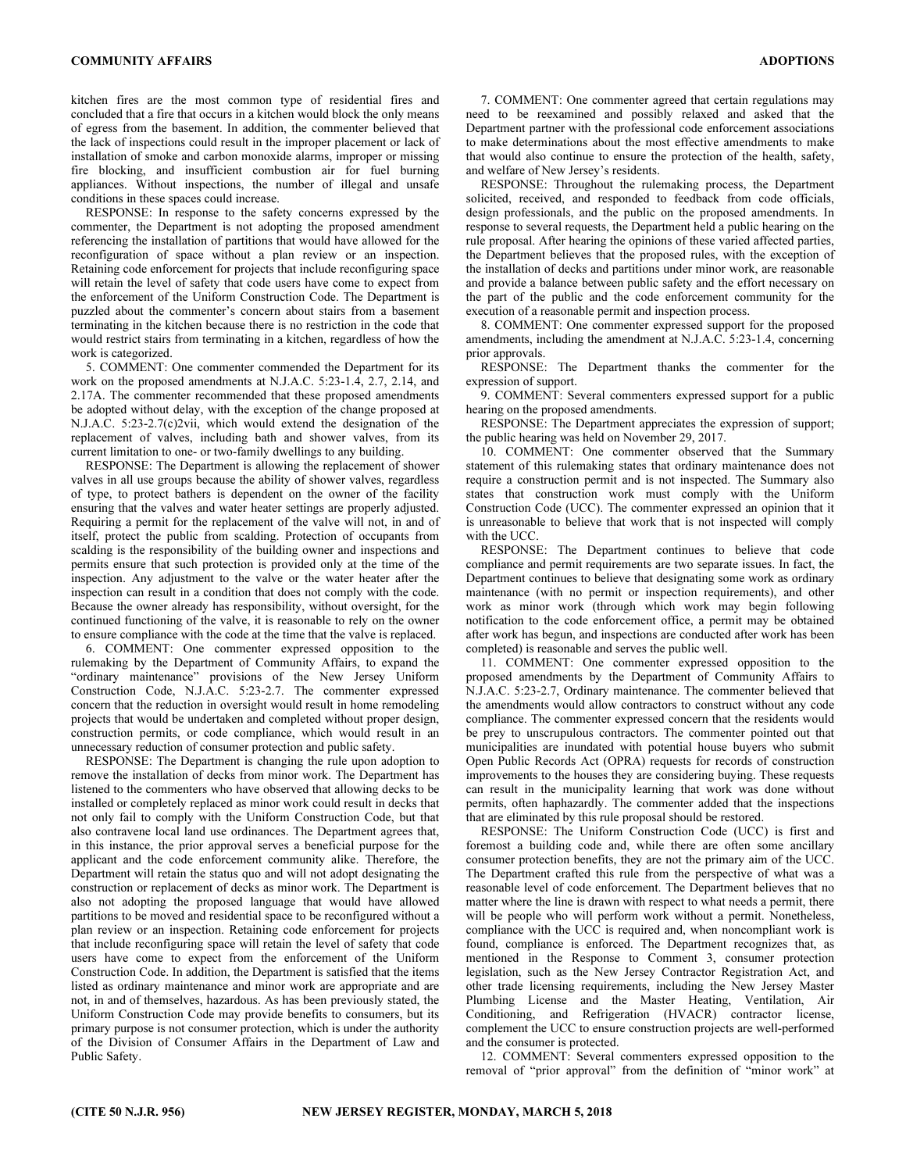kitchen fires are the most common type of residential fires and concluded that a fire that occurs in a kitchen would block the only means of egress from the basement. In addition, the commenter believed that the lack of inspections could result in the improper placement or lack of installation of smoke and carbon monoxide alarms, improper or missing fire blocking, and insufficient combustion air for fuel burning appliances. Without inspections, the number of illegal and unsafe conditions in these spaces could increase.

RESPONSE: In response to the safety concerns expressed by the commenter, the Department is not adopting the proposed amendment referencing the installation of partitions that would have allowed for the reconfiguration of space without a plan review or an inspection. Retaining code enforcement for projects that include reconfiguring space will retain the level of safety that code users have come to expect from the enforcement of the Uniform Construction Code. The Department is puzzled about the commenter's concern about stairs from a basement terminating in the kitchen because there is no restriction in the code that would restrict stairs from terminating in a kitchen, regardless of how the work is categorized.

5. COMMENT: One commenter commended the Department for its work on the proposed amendments at N.J.A.C. 5:23-1.4, 2.7, 2.14, and 2.17A. The commenter recommended that these proposed amendments be adopted without delay, with the exception of the change proposed at N.J.A.C. 5:23-2.7(c)2vii, which would extend the designation of the replacement of valves, including bath and shower valves, from its current limitation to one- or two-family dwellings to any building.

RESPONSE: The Department is allowing the replacement of shower valves in all use groups because the ability of shower valves, regardless of type, to protect bathers is dependent on the owner of the facility ensuring that the valves and water heater settings are properly adjusted. Requiring a permit for the replacement of the valve will not, in and of itself, protect the public from scalding. Protection of occupants from scalding is the responsibility of the building owner and inspections and permits ensure that such protection is provided only at the time of the inspection. Any adjustment to the valve or the water heater after the inspection can result in a condition that does not comply with the code. Because the owner already has responsibility, without oversight, for the continued functioning of the valve, it is reasonable to rely on the owner to ensure compliance with the code at the time that the valve is replaced.

6. COMMENT: One commenter expressed opposition to the rulemaking by the Department of Community Affairs, to expand the "ordinary maintenance" provisions of the New Jersey Uniform Construction Code, N.J.A.C. 5:23-2.7. The commenter expressed concern that the reduction in oversight would result in home remodeling projects that would be undertaken and completed without proper design, construction permits, or code compliance, which would result in an unnecessary reduction of consumer protection and public safety.

RESPONSE: The Department is changing the rule upon adoption to remove the installation of decks from minor work. The Department has listened to the commenters who have observed that allowing decks to be installed or completely replaced as minor work could result in decks that not only fail to comply with the Uniform Construction Code, but that also contravene local land use ordinances. The Department agrees that, in this instance, the prior approval serves a beneficial purpose for the applicant and the code enforcement community alike. Therefore, the Department will retain the status quo and will not adopt designating the construction or replacement of decks as minor work. The Department is also not adopting the proposed language that would have allowed partitions to be moved and residential space to be reconfigured without a plan review or an inspection. Retaining code enforcement for projects that include reconfiguring space will retain the level of safety that code users have come to expect from the enforcement of the Uniform Construction Code. In addition, the Department is satisfied that the items listed as ordinary maintenance and minor work are appropriate and are not, in and of themselves, hazardous. As has been previously stated, the Uniform Construction Code may provide benefits to consumers, but its primary purpose is not consumer protection, which is under the authority of the Division of Consumer Affairs in the Department of Law and Public Safety.

7. COMMENT: One commenter agreed that certain regulations may need to be reexamined and possibly relaxed and asked that the Department partner with the professional code enforcement associations to make determinations about the most effective amendments to make that would also continue to ensure the protection of the health, safety, and welfare of New Jersey's residents.

RESPONSE: Throughout the rulemaking process, the Department solicited, received, and responded to feedback from code officials, design professionals, and the public on the proposed amendments. In response to several requests, the Department held a public hearing on the rule proposal. After hearing the opinions of these varied affected parties, the Department believes that the proposed rules, with the exception of the installation of decks and partitions under minor work, are reasonable and provide a balance between public safety and the effort necessary on the part of the public and the code enforcement community for the execution of a reasonable permit and inspection process.

8. COMMENT: One commenter expressed support for the proposed amendments, including the amendment at N.J.A.C. 5:23-1.4, concerning prior approvals.

RESPONSE: The Department thanks the commenter for the expression of support.

9. COMMENT: Several commenters expressed support for a public hearing on the proposed amendments.

RESPONSE: The Department appreciates the expression of support; the public hearing was held on November 29, 2017.

10. COMMENT: One commenter observed that the Summary statement of this rulemaking states that ordinary maintenance does not require a construction permit and is not inspected. The Summary also states that construction work must comply with the Uniform Construction Code (UCC). The commenter expressed an opinion that it is unreasonable to believe that work that is not inspected will comply with the UCC.

RESPONSE: The Department continues to believe that code compliance and permit requirements are two separate issues. In fact, the Department continues to believe that designating some work as ordinary maintenance (with no permit or inspection requirements), and other work as minor work (through which work may begin following notification to the code enforcement office, a permit may be obtained after work has begun, and inspections are conducted after work has been completed) is reasonable and serves the public well.

11. COMMENT: One commenter expressed opposition to the proposed amendments by the Department of Community Affairs to N.J.A.C. 5:23-2.7, Ordinary maintenance. The commenter believed that the amendments would allow contractors to construct without any code compliance. The commenter expressed concern that the residents would be prey to unscrupulous contractors. The commenter pointed out that municipalities are inundated with potential house buyers who submit Open Public Records Act (OPRA) requests for records of construction improvements to the houses they are considering buying. These requests can result in the municipality learning that work was done without permits, often haphazardly. The commenter added that the inspections that are eliminated by this rule proposal should be restored.

RESPONSE: The Uniform Construction Code (UCC) is first and foremost a building code and, while there are often some ancillary consumer protection benefits, they are not the primary aim of the UCC. The Department crafted this rule from the perspective of what was a reasonable level of code enforcement. The Department believes that no matter where the line is drawn with respect to what needs a permit, there will be people who will perform work without a permit. Nonetheless, compliance with the UCC is required and, when noncompliant work is found, compliance is enforced. The Department recognizes that, as mentioned in the Response to Comment 3, consumer protection legislation, such as the New Jersey Contractor Registration Act, and other trade licensing requirements, including the New Jersey Master Plumbing License and the Master Heating, Ventilation, Air Conditioning, and Refrigeration (HVACR) contractor license, complement the UCC to ensure construction projects are well-performed and the consumer is protected.

12. COMMENT: Several commenters expressed opposition to the removal of "prior approval" from the definition of "minor work" at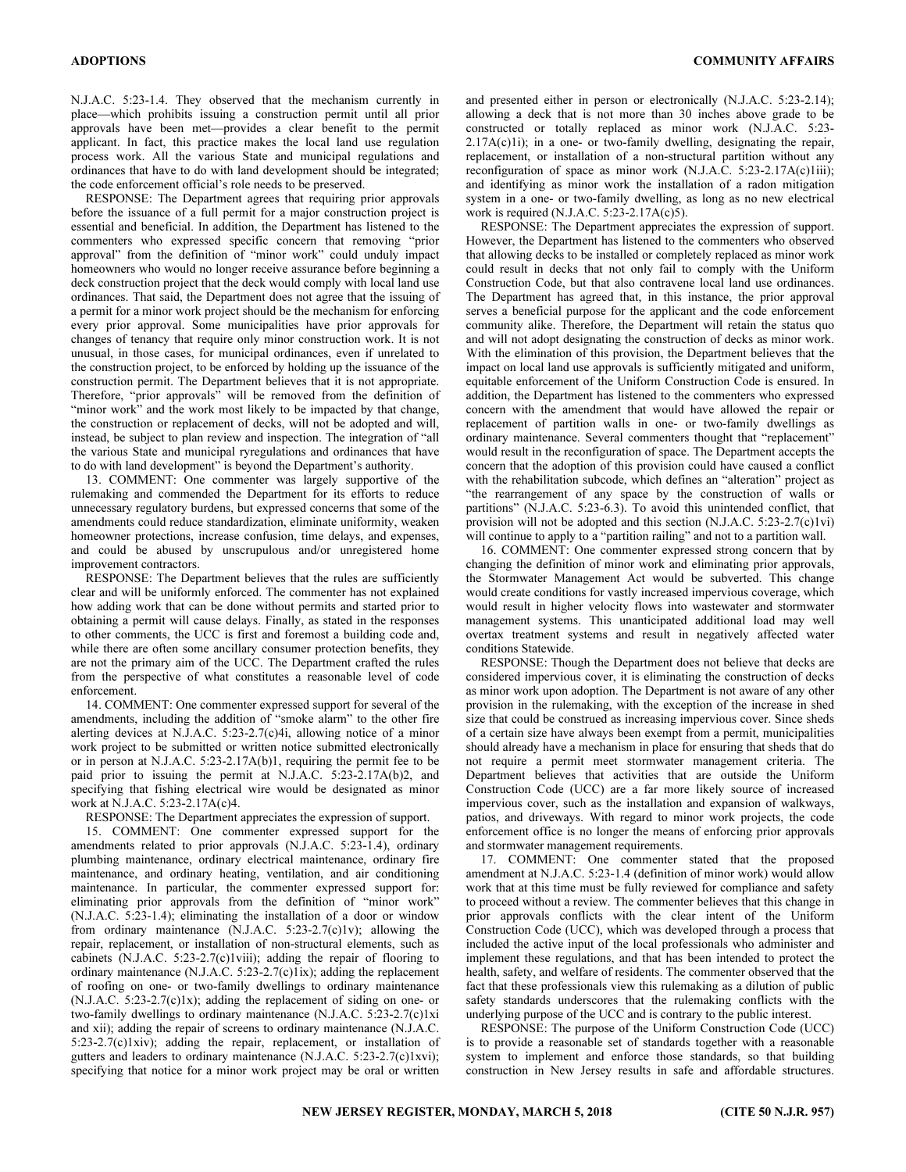N.J.A.C. 5:23-1.4. They observed that the mechanism currently in place—which prohibits issuing a construction permit until all prior approvals have been met—provides a clear benefit to the permit applicant. In fact, this practice makes the local land use regulation process work. All the various State and municipal regulations and ordinances that have to do with land development should be integrated; the code enforcement official's role needs to be preserved.

RESPONSE: The Department agrees that requiring prior approvals before the issuance of a full permit for a major construction project is essential and beneficial. In addition, the Department has listened to the commenters who expressed specific concern that removing "prior approval" from the definition of "minor work" could unduly impact homeowners who would no longer receive assurance before beginning a deck construction project that the deck would comply with local land use ordinances. That said, the Department does not agree that the issuing of a permit for a minor work project should be the mechanism for enforcing every prior approval. Some municipalities have prior approvals for changes of tenancy that require only minor construction work. It is not unusual, in those cases, for municipal ordinances, even if unrelated to the construction project, to be enforced by holding up the issuance of the construction permit. The Department believes that it is not appropriate. Therefore, "prior approvals" will be removed from the definition of "minor work" and the work most likely to be impacted by that change, the construction or replacement of decks, will not be adopted and will, instead, be subject to plan review and inspection. The integration of "all the various State and municipal ryregulations and ordinances that have to do with land development" is beyond the Department's authority.

13. COMMENT: One commenter was largely supportive of the rulemaking and commended the Department for its efforts to reduce unnecessary regulatory burdens, but expressed concerns that some of the amendments could reduce standardization, eliminate uniformity, weaken homeowner protections, increase confusion, time delays, and expenses, and could be abused by unscrupulous and/or unregistered home improvement contractors.

RESPONSE: The Department believes that the rules are sufficiently clear and will be uniformly enforced. The commenter has not explained how adding work that can be done without permits and started prior to obtaining a permit will cause delays. Finally, as stated in the responses to other comments, the UCC is first and foremost a building code and, while there are often some ancillary consumer protection benefits, they are not the primary aim of the UCC. The Department crafted the rules from the perspective of what constitutes a reasonable level of code enforcement.

14. COMMENT: One commenter expressed support for several of the amendments, including the addition of "smoke alarm" to the other fire alerting devices at N.J.A.C. 5:23-2.7(c)4i, allowing notice of a minor work project to be submitted or written notice submitted electronically or in person at N.J.A.C. 5:23-2.17A(b)1, requiring the permit fee to be paid prior to issuing the permit at N.J.A.C. 5:23-2.17A(b)2, and specifying that fishing electrical wire would be designated as minor work at N.J.A.C. 5:23-2.17A(c)4.

RESPONSE: The Department appreciates the expression of support.

15. COMMENT: One commenter expressed support for the amendments related to prior approvals (N.J.A.C. 5:23-1.4), ordinary plumbing maintenance, ordinary electrical maintenance, ordinary fire maintenance, and ordinary heating, ventilation, and air conditioning maintenance. In particular, the commenter expressed support for: eliminating prior approvals from the definition of "minor work" (N.J.A.C. 5:23-1.4); eliminating the installation of a door or window from ordinary maintenance  $(N.J.A.C. 5:23-2.7(c)1v)$ ; allowing the repair, replacement, or installation of non-structural elements, such as cabinets (N.J.A.C. 5:23-2.7(c)1viii); adding the repair of flooring to ordinary maintenance (N.J.A.C. 5:23-2.7(c)1ix); adding the replacement of roofing on one- or two-family dwellings to ordinary maintenance  $(N.J.A.C. 5:23-2.7(c)1x)$ ; adding the replacement of siding on one- or two-family dwellings to ordinary maintenance (N.J.A.C. 5:23-2.7(c)1xi and xii); adding the repair of screens to ordinary maintenance (N.J.A.C. 5:23-2.7(c)1xiv); adding the repair, replacement, or installation of gutters and leaders to ordinary maintenance (N.J.A.C. 5:23-2.7(c)1xvi); specifying that notice for a minor work project may be oral or written

and presented either in person or electronically (N.J.A.C. 5:23-2.14); allowing a deck that is not more than 30 inches above grade to be constructed or totally replaced as minor work (N.J.A.C. 5:23- 2.17A(c)1i); in a one- or two-family dwelling, designating the repair, replacement, or installation of a non-structural partition without any reconfiguration of space as minor work (N.J.A.C. 5:23-2.17A(c)1iii); and identifying as minor work the installation of a radon mitigation system in a one- or two-family dwelling, as long as no new electrical work is required (N.J.A.C. 5:23-2.17A(c)5).

RESPONSE: The Department appreciates the expression of support. However, the Department has listened to the commenters who observed that allowing decks to be installed or completely replaced as minor work could result in decks that not only fail to comply with the Uniform Construction Code, but that also contravene local land use ordinances. The Department has agreed that, in this instance, the prior approval serves a beneficial purpose for the applicant and the code enforcement community alike. Therefore, the Department will retain the status quo and will not adopt designating the construction of decks as minor work. With the elimination of this provision, the Department believes that the impact on local land use approvals is sufficiently mitigated and uniform, equitable enforcement of the Uniform Construction Code is ensured. In addition, the Department has listened to the commenters who expressed concern with the amendment that would have allowed the repair or replacement of partition walls in one- or two-family dwellings as ordinary maintenance. Several commenters thought that "replacement" would result in the reconfiguration of space. The Department accepts the concern that the adoption of this provision could have caused a conflict with the rehabilitation subcode, which defines an "alteration" project as "the rearrangement of any space by the construction of walls or partitions" (N.J.A.C. 5:23-6.3). To avoid this unintended conflict, that provision will not be adopted and this section (N.J.A.C. 5:23-2.7(c)1vi) will continue to apply to a "partition railing" and not to a partition wall.

16. COMMENT: One commenter expressed strong concern that by changing the definition of minor work and eliminating prior approvals, the Stormwater Management Act would be subverted. This change would create conditions for vastly increased impervious coverage, which would result in higher velocity flows into wastewater and stormwater management systems. This unanticipated additional load may well overtax treatment systems and result in negatively affected water conditions Statewide.

RESPONSE: Though the Department does not believe that decks are considered impervious cover, it is eliminating the construction of decks as minor work upon adoption. The Department is not aware of any other provision in the rulemaking, with the exception of the increase in shed size that could be construed as increasing impervious cover. Since sheds of a certain size have always been exempt from a permit, municipalities should already have a mechanism in place for ensuring that sheds that do not require a permit meet stormwater management criteria. The Department believes that activities that are outside the Uniform Construction Code (UCC) are a far more likely source of increased impervious cover, such as the installation and expansion of walkways, patios, and driveways. With regard to minor work projects, the code enforcement office is no longer the means of enforcing prior approvals and stormwater management requirements.

17. COMMENT: One commenter stated that the proposed amendment at N.J.A.C. 5:23-1.4 (definition of minor work) would allow work that at this time must be fully reviewed for compliance and safety to proceed without a review. The commenter believes that this change in prior approvals conflicts with the clear intent of the Uniform Construction Code (UCC), which was developed through a process that included the active input of the local professionals who administer and implement these regulations, and that has been intended to protect the health, safety, and welfare of residents. The commenter observed that the fact that these professionals view this rulemaking as a dilution of public safety standards underscores that the rulemaking conflicts with the underlying purpose of the UCC and is contrary to the public interest.

RESPONSE: The purpose of the Uniform Construction Code (UCC) is to provide a reasonable set of standards together with a reasonable system to implement and enforce those standards, so that building construction in New Jersey results in safe and affordable structures.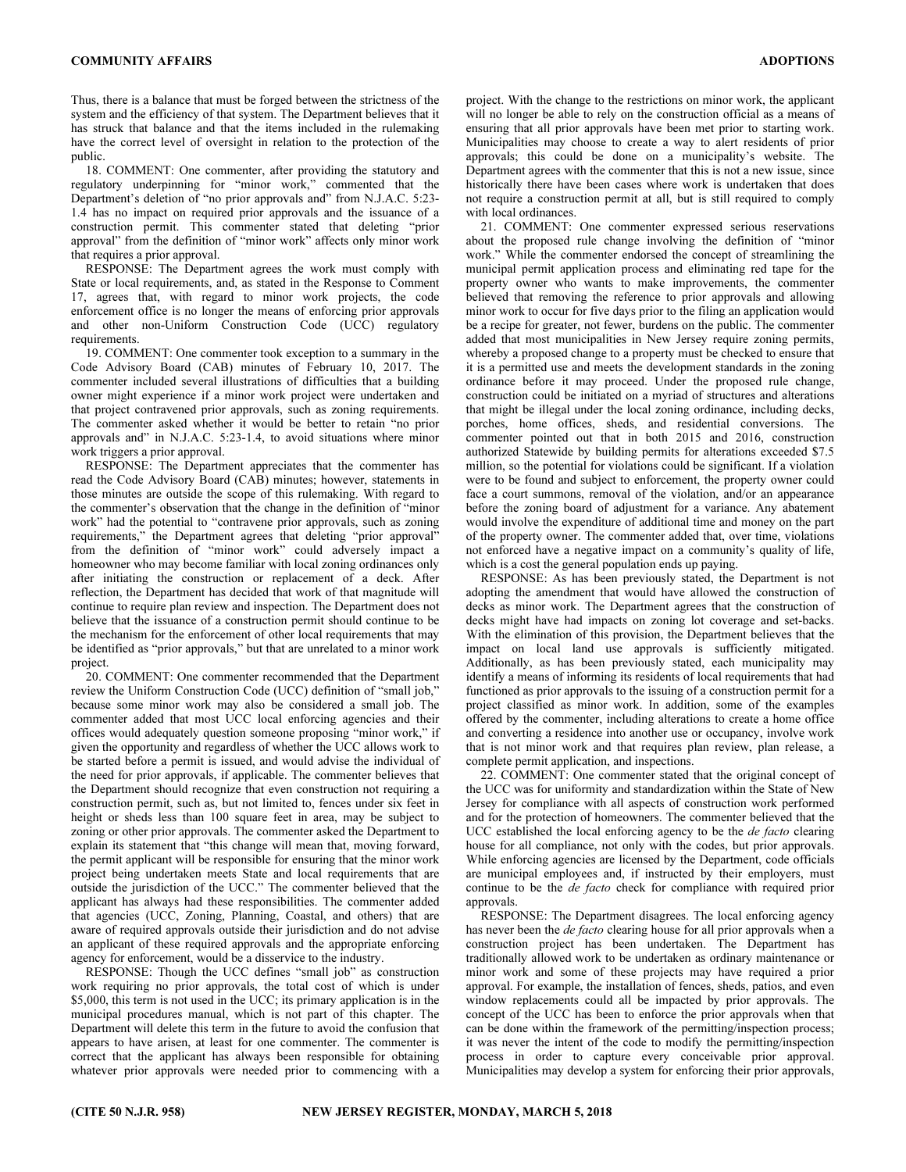Thus, there is a balance that must be forged between the strictness of the system and the efficiency of that system. The Department believes that it has struck that balance and that the items included in the rulemaking have the correct level of oversight in relation to the protection of the public.

18. COMMENT: One commenter, after providing the statutory and regulatory underpinning for "minor work," commented that the Department's deletion of "no prior approvals and" from N.J.A.C. 5:23- 1.4 has no impact on required prior approvals and the issuance of a construction permit. This commenter stated that deleting "prior approval" from the definition of "minor work" affects only minor work that requires a prior approval.

RESPONSE: The Department agrees the work must comply with State or local requirements, and, as stated in the Response to Comment 17, agrees that, with regard to minor work projects, the code enforcement office is no longer the means of enforcing prior approvals and other non-Uniform Construction Code (UCC) regulatory requirements.

19. COMMENT: One commenter took exception to a summary in the Code Advisory Board (CAB) minutes of February 10, 2017. The commenter included several illustrations of difficulties that a building owner might experience if a minor work project were undertaken and that project contravened prior approvals, such as zoning requirements. The commenter asked whether it would be better to retain "no prior approvals and" in N.J.A.C. 5:23-1.4, to avoid situations where minor work triggers a prior approval.

RESPONSE: The Department appreciates that the commenter has read the Code Advisory Board (CAB) minutes; however, statements in those minutes are outside the scope of this rulemaking. With regard to the commenter's observation that the change in the definition of "minor work" had the potential to "contravene prior approvals, such as zoning requirements," the Department agrees that deleting "prior approval" from the definition of "minor work" could adversely impact a homeowner who may become familiar with local zoning ordinances only after initiating the construction or replacement of a deck. After reflection, the Department has decided that work of that magnitude will continue to require plan review and inspection. The Department does not believe that the issuance of a construction permit should continue to be the mechanism for the enforcement of other local requirements that may be identified as "prior approvals," but that are unrelated to a minor work project.

20. COMMENT: One commenter recommended that the Department review the Uniform Construction Code (UCC) definition of "small job," because some minor work may also be considered a small job. The commenter added that most UCC local enforcing agencies and their offices would adequately question someone proposing "minor work," if given the opportunity and regardless of whether the UCC allows work to be started before a permit is issued, and would advise the individual of the need for prior approvals, if applicable. The commenter believes that the Department should recognize that even construction not requiring a construction permit, such as, but not limited to, fences under six feet in height or sheds less than 100 square feet in area, may be subject to zoning or other prior approvals. The commenter asked the Department to explain its statement that "this change will mean that, moving forward, the permit applicant will be responsible for ensuring that the minor work project being undertaken meets State and local requirements that are outside the jurisdiction of the UCC." The commenter believed that the applicant has always had these responsibilities. The commenter added that agencies (UCC, Zoning, Planning, Coastal, and others) that are aware of required approvals outside their jurisdiction and do not advise an applicant of these required approvals and the appropriate enforcing agency for enforcement, would be a disservice to the industry.

RESPONSE: Though the UCC defines "small job" as construction work requiring no prior approvals, the total cost of which is under \$5,000, this term is not used in the UCC; its primary application is in the municipal procedures manual, which is not part of this chapter. The Department will delete this term in the future to avoid the confusion that appears to have arisen, at least for one commenter. The commenter is correct that the applicant has always been responsible for obtaining whatever prior approvals were needed prior to commencing with a

project. With the change to the restrictions on minor work, the applicant will no longer be able to rely on the construction official as a means of ensuring that all prior approvals have been met prior to starting work. Municipalities may choose to create a way to alert residents of prior approvals; this could be done on a municipality's website. The Department agrees with the commenter that this is not a new issue, since historically there have been cases where work is undertaken that does not require a construction permit at all, but is still required to comply with local ordinances.

21. COMMENT: One commenter expressed serious reservations about the proposed rule change involving the definition of "minor work." While the commenter endorsed the concept of streamlining the municipal permit application process and eliminating red tape for the property owner who wants to make improvements, the commenter believed that removing the reference to prior approvals and allowing minor work to occur for five days prior to the filing an application would be a recipe for greater, not fewer, burdens on the public. The commenter added that most municipalities in New Jersey require zoning permits, whereby a proposed change to a property must be checked to ensure that it is a permitted use and meets the development standards in the zoning ordinance before it may proceed. Under the proposed rule change, construction could be initiated on a myriad of structures and alterations that might be illegal under the local zoning ordinance, including decks, porches, home offices, sheds, and residential conversions. The commenter pointed out that in both 2015 and 2016, construction authorized Statewide by building permits for alterations exceeded \$7.5 million, so the potential for violations could be significant. If a violation were to be found and subject to enforcement, the property owner could face a court summons, removal of the violation, and/or an appearance before the zoning board of adjustment for a variance. Any abatement would involve the expenditure of additional time and money on the part of the property owner. The commenter added that, over time, violations not enforced have a negative impact on a community's quality of life, which is a cost the general population ends up paying.

RESPONSE: As has been previously stated, the Department is not adopting the amendment that would have allowed the construction of decks as minor work. The Department agrees that the construction of decks might have had impacts on zoning lot coverage and set-backs. With the elimination of this provision, the Department believes that the impact on local land use approvals is sufficiently mitigated. Additionally, as has been previously stated, each municipality may identify a means of informing its residents of local requirements that had functioned as prior approvals to the issuing of a construction permit for a project classified as minor work. In addition, some of the examples offered by the commenter, including alterations to create a home office and converting a residence into another use or occupancy, involve work that is not minor work and that requires plan review, plan release, a complete permit application, and inspections.

22. COMMENT: One commenter stated that the original concept of the UCC was for uniformity and standardization within the State of New Jersey for compliance with all aspects of construction work performed and for the protection of homeowners. The commenter believed that the UCC established the local enforcing agency to be the *de facto* clearing house for all compliance, not only with the codes, but prior approvals. While enforcing agencies are licensed by the Department, code officials are municipal employees and, if instructed by their employers, must continue to be the de facto check for compliance with required prior approvals.

RESPONSE: The Department disagrees. The local enforcing agency has never been the *de facto* clearing house for all prior approvals when a construction project has been undertaken. The Department has traditionally allowed work to be undertaken as ordinary maintenance or minor work and some of these projects may have required a prior approval. For example, the installation of fences, sheds, patios, and even window replacements could all be impacted by prior approvals. The concept of the UCC has been to enforce the prior approvals when that can be done within the framework of the permitting/inspection process; it was never the intent of the code to modify the permitting/inspection process in order to capture every conceivable prior approval. Municipalities may develop a system for enforcing their prior approvals,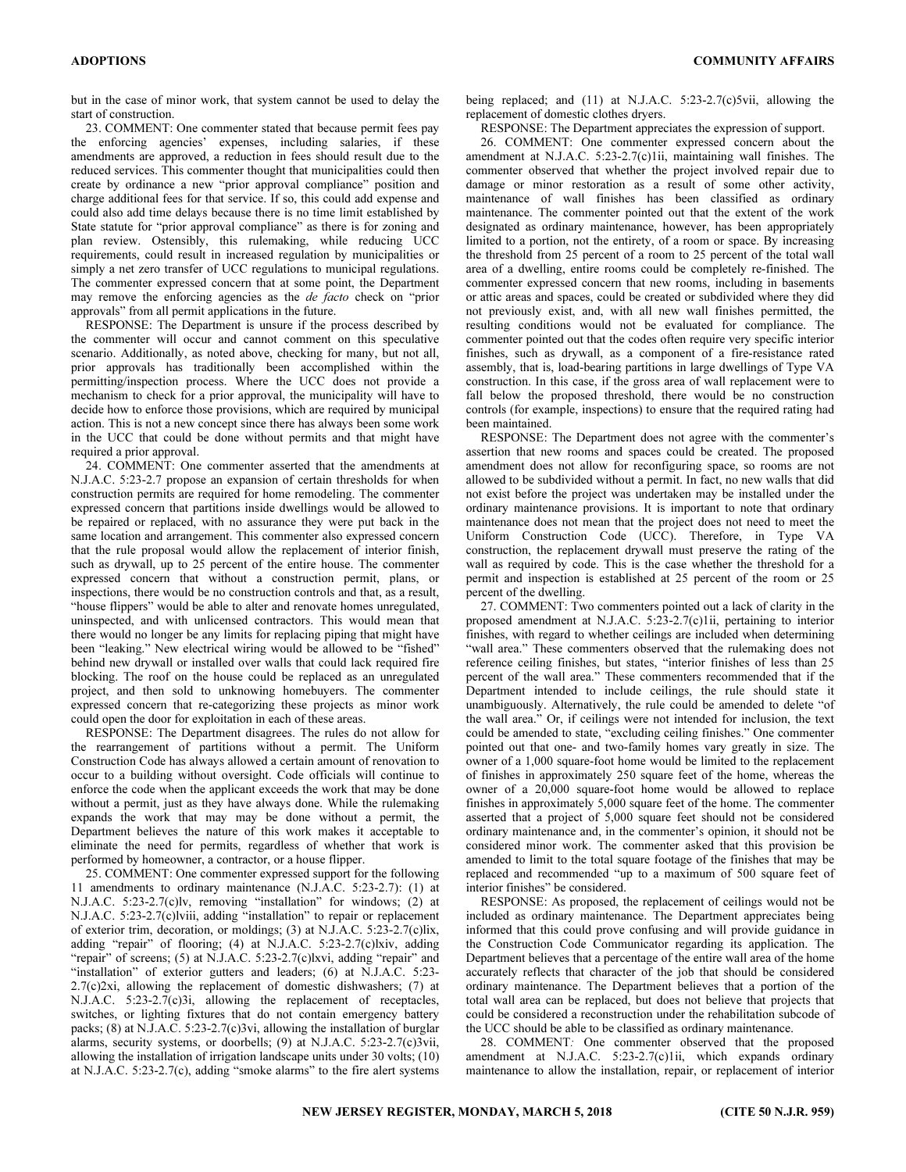but in the case of minor work, that system cannot be used to delay the start of construction.

23. COMMENT: One commenter stated that because permit fees pay the enforcing agencies' expenses, including salaries, if these amendments are approved, a reduction in fees should result due to the reduced services. This commenter thought that municipalities could then create by ordinance a new "prior approval compliance" position and charge additional fees for that service. If so, this could add expense and could also add time delays because there is no time limit established by State statute for "prior approval compliance" as there is for zoning and plan review. Ostensibly, this rulemaking, while reducing UCC requirements, could result in increased regulation by municipalities or simply a net zero transfer of UCC regulations to municipal regulations. The commenter expressed concern that at some point, the Department may remove the enforcing agencies as the *de facto* check on "prior" approvals" from all permit applications in the future.

RESPONSE: The Department is unsure if the process described by the commenter will occur and cannot comment on this speculative scenario. Additionally, as noted above, checking for many, but not all, prior approvals has traditionally been accomplished within the permitting/inspection process. Where the UCC does not provide a mechanism to check for a prior approval, the municipality will have to decide how to enforce those provisions, which are required by municipal action. This is not a new concept since there has always been some work in the UCC that could be done without permits and that might have required a prior approval.

24. COMMENT: One commenter asserted that the amendments at N.J.A.C. 5:23-2.7 propose an expansion of certain thresholds for when construction permits are required for home remodeling. The commenter expressed concern that partitions inside dwellings would be allowed to be repaired or replaced, with no assurance they were put back in the same location and arrangement. This commenter also expressed concern that the rule proposal would allow the replacement of interior finish, such as drywall, up to 25 percent of the entire house. The commenter expressed concern that without a construction permit, plans, or inspections, there would be no construction controls and that, as a result, "house flippers" would be able to alter and renovate homes unregulated, uninspected, and with unlicensed contractors. This would mean that there would no longer be any limits for replacing piping that might have been "leaking." New electrical wiring would be allowed to be "fished" behind new drywall or installed over walls that could lack required fire blocking. The roof on the house could be replaced as an unregulated project, and then sold to unknowing homebuyers. The commenter expressed concern that re-categorizing these projects as minor work could open the door for exploitation in each of these areas.

RESPONSE: The Department disagrees. The rules do not allow for the rearrangement of partitions without a permit. The Uniform Construction Code has always allowed a certain amount of renovation to occur to a building without oversight. Code officials will continue to enforce the code when the applicant exceeds the work that may be done without a permit, just as they have always done. While the rulemaking expands the work that may may be done without a permit, the Department believes the nature of this work makes it acceptable to eliminate the need for permits, regardless of whether that work is performed by homeowner, a contractor, or a house flipper.

25. COMMENT: One commenter expressed support for the following 11 amendments to ordinary maintenance (N.J.A.C. 5:23-2.7): (1) at N.J.A.C. 5:23-2.7(c)lv, removing "installation" for windows; (2) at N.J.A.C. 5:23-2.7(c)lviii, adding "installation" to repair or replacement of exterior trim, decoration, or moldings; (3) at N.J.A.C. 5:23-2.7(c)lix, adding "repair" of flooring; (4) at N.J.A.C. 5:23-2.7(c)lxiv, adding "repair" of screens; (5) at N.J.A.C. 5:23-2.7(c)lxvi, adding "repair" and "installation" of exterior gutters and leaders; (6) at N.J.A.C. 5:23-2.7(c)2xi, allowing the replacement of domestic dishwashers; (7) at N.J.A.C. 5:23-2.7(c)3i, allowing the replacement of receptacles, switches, or lighting fixtures that do not contain emergency battery packs; (8) at N.J.A.C. 5:23-2.7(c)3vi, allowing the installation of burglar alarms, security systems, or doorbells; (9) at N.J.A.C. 5:23-2.7(c)3vii, allowing the installation of irrigation landscape units under 30 volts; (10) at N.J.A.C. 5:23-2.7(c), adding "smoke alarms" to the fire alert systems

being replaced; and (11) at N.J.A.C. 5:23-2.7(c)5vii, allowing the replacement of domestic clothes dryers.

RESPONSE: The Department appreciates the expression of support.

26. COMMENT: One commenter expressed concern about the amendment at N.J.A.C. 5:23-2.7(c)1ii, maintaining wall finishes. The commenter observed that whether the project involved repair due to damage or minor restoration as a result of some other activity, maintenance of wall finishes has been classified as ordinary maintenance. The commenter pointed out that the extent of the work designated as ordinary maintenance, however, has been appropriately limited to a portion, not the entirety, of a room or space. By increasing the threshold from 25 percent of a room to 25 percent of the total wall area of a dwelling, entire rooms could be completely re-finished. The commenter expressed concern that new rooms, including in basements or attic areas and spaces, could be created or subdivided where they did not previously exist, and, with all new wall finishes permitted, the resulting conditions would not be evaluated for compliance. The commenter pointed out that the codes often require very specific interior finishes, such as drywall, as a component of a fire-resistance rated assembly, that is, load-bearing partitions in large dwellings of Type VA construction. In this case, if the gross area of wall replacement were to fall below the proposed threshold, there would be no construction controls (for example, inspections) to ensure that the required rating had been maintained.

RESPONSE: The Department does not agree with the commenter's assertion that new rooms and spaces could be created. The proposed amendment does not allow for reconfiguring space, so rooms are not allowed to be subdivided without a permit. In fact, no new walls that did not exist before the project was undertaken may be installed under the ordinary maintenance provisions. It is important to note that ordinary maintenance does not mean that the project does not need to meet the Uniform Construction Code (UCC). Therefore, in Type VA construction, the replacement drywall must preserve the rating of the wall as required by code. This is the case whether the threshold for a permit and inspection is established at 25 percent of the room or 25 percent of the dwelling.

27. COMMENT: Two commenters pointed out a lack of clarity in the proposed amendment at N.J.A.C. 5:23-2.7(c)1ii, pertaining to interior finishes, with regard to whether ceilings are included when determining "wall area." These commenters observed that the rulemaking does not reference ceiling finishes, but states, "interior finishes of less than 25 percent of the wall area." These commenters recommended that if the Department intended to include ceilings, the rule should state it unambiguously. Alternatively, the rule could be amended to delete "of the wall area." Or, if ceilings were not intended for inclusion, the text could be amended to state, "excluding ceiling finishes." One commenter pointed out that one- and two-family homes vary greatly in size. The owner of a 1,000 square-foot home would be limited to the replacement of finishes in approximately 250 square feet of the home, whereas the owner of a 20,000 square-foot home would be allowed to replace finishes in approximately 5,000 square feet of the home. The commenter asserted that a project of 5,000 square feet should not be considered ordinary maintenance and, in the commenter's opinion, it should not be considered minor work. The commenter asked that this provision be amended to limit to the total square footage of the finishes that may be replaced and recommended "up to a maximum of 500 square feet of interior finishes" be considered.

RESPONSE: As proposed, the replacement of ceilings would not be included as ordinary maintenance. The Department appreciates being informed that this could prove confusing and will provide guidance in the Construction Code Communicator regarding its application. The Department believes that a percentage of the entire wall area of the home accurately reflects that character of the job that should be considered ordinary maintenance. The Department believes that a portion of the total wall area can be replaced, but does not believe that projects that could be considered a reconstruction under the rehabilitation subcode of the UCC should be able to be classified as ordinary maintenance.

28. COMMENT: One commenter observed that the proposed amendment at N.J.A.C. 5:23-2.7(c)1ii, which expands ordinary maintenance to allow the installation, repair, or replacement of interior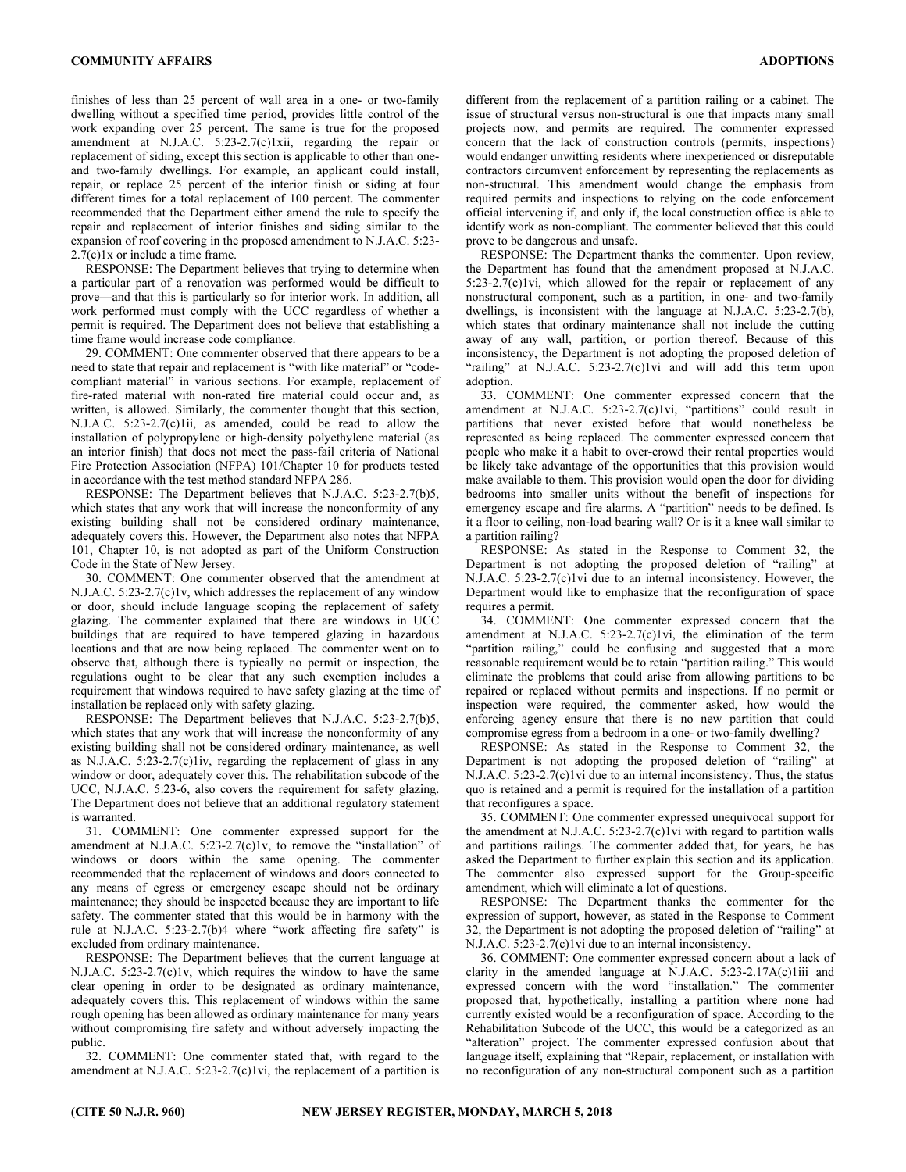finishes of less than 25 percent of wall area in a one- or two-family dwelling without a specified time period, provides little control of the work expanding over 25 percent. The same is true for the proposed amendment at N.J.A.C. 5:23-2.7(c)1xii, regarding the repair or replacement of siding, except this section is applicable to other than oneand two-family dwellings. For example, an applicant could install, repair, or replace 25 percent of the interior finish or siding at four different times for a total replacement of 100 percent. The commenter recommended that the Department either amend the rule to specify the repair and replacement of interior finishes and siding similar to the expansion of roof covering in the proposed amendment to N.J.A.C. 5:23- 2.7(c)1x or include a time frame.

RESPONSE: The Department believes that trying to determine when a particular part of a renovation was performed would be difficult to prove—and that this is particularly so for interior work. In addition, all work performed must comply with the UCC regardless of whether a permit is required. The Department does not believe that establishing a time frame would increase code compliance.

29. COMMENT: One commenter observed that there appears to be a need to state that repair and replacement is "with like material" or "codecompliant material" in various sections. For example, replacement of fire-rated material with non-rated fire material could occur and, as written, is allowed. Similarly, the commenter thought that this section, N.J.A.C. 5:23-2.7(c)1ii, as amended, could be read to allow the installation of polypropylene or high-density polyethylene material (as an interior finish) that does not meet the pass-fail criteria of National Fire Protection Association (NFPA) 101/Chapter 10 for products tested in accordance with the test method standard NFPA 286.

RESPONSE: The Department believes that N.J.A.C. 5:23-2.7(b)5, which states that any work that will increase the nonconformity of any existing building shall not be considered ordinary maintenance, adequately covers this. However, the Department also notes that NFPA 101, Chapter 10, is not adopted as part of the Uniform Construction Code in the State of New Jersey.

30. COMMENT: One commenter observed that the amendment at N.J.A.C. 5:23-2.7(c)1v, which addresses the replacement of any window or door, should include language scoping the replacement of safety glazing. The commenter explained that there are windows in UCC buildings that are required to have tempered glazing in hazardous locations and that are now being replaced. The commenter went on to observe that, although there is typically no permit or inspection, the regulations ought to be clear that any such exemption includes a requirement that windows required to have safety glazing at the time of installation be replaced only with safety glazing.

RESPONSE: The Department believes that N.J.A.C. 5:23-2.7(b)5, which states that any work that will increase the nonconformity of any existing building shall not be considered ordinary maintenance, as well as N.J.A.C. 5:23-2.7(c)1iv, regarding the replacement of glass in any window or door, adequately cover this. The rehabilitation subcode of the UCC, N.J.A.C. 5:23-6, also covers the requirement for safety glazing. The Department does not believe that an additional regulatory statement is warranted.

31. COMMENT: One commenter expressed support for the amendment at N.J.A.C. 5:23-2.7(c)1v, to remove the "installation" of windows or doors within the same opening. The commenter recommended that the replacement of windows and doors connected to any means of egress or emergency escape should not be ordinary maintenance; they should be inspected because they are important to life safety. The commenter stated that this would be in harmony with the rule at N.J.A.C. 5:23-2.7(b)4 where "work affecting fire safety" is excluded from ordinary maintenance.

RESPONSE: The Department believes that the current language at N.J.A.C. 5:23-2.7(c)1v, which requires the window to have the same clear opening in order to be designated as ordinary maintenance, adequately covers this. This replacement of windows within the same rough opening has been allowed as ordinary maintenance for many years without compromising fire safety and without adversely impacting the public.

32. COMMENT: One commenter stated that, with regard to the amendment at N.J.A.C. 5:23-2.7(c)1vi, the replacement of a partition is different from the replacement of a partition railing or a cabinet. The issue of structural versus non-structural is one that impacts many small projects now, and permits are required. The commenter expressed concern that the lack of construction controls (permits, inspections) would endanger unwitting residents where inexperienced or disreputable contractors circumvent enforcement by representing the replacements as non-structural. This amendment would change the emphasis from required permits and inspections to relying on the code enforcement official intervening if, and only if, the local construction office is able to identify work as non-compliant. The commenter believed that this could prove to be dangerous and unsafe.

RESPONSE: The Department thanks the commenter. Upon review, the Department has found that the amendment proposed at N.J.A.C. 5:23-2.7(c)1vi, which allowed for the repair or replacement of any nonstructural component, such as a partition, in one- and two-family dwellings, is inconsistent with the language at N.J.A.C. 5:23-2.7(b), which states that ordinary maintenance shall not include the cutting away of any wall, partition, or portion thereof. Because of this inconsistency, the Department is not adopting the proposed deletion of "railing" at N.J.A.C. 5:23-2.7(c)1vi and will add this term upon adoption.

33. COMMENT: One commenter expressed concern that the amendment at N.J.A.C. 5:23-2.7(c)1vi, "partitions" could result in partitions that never existed before that would nonetheless be represented as being replaced. The commenter expressed concern that people who make it a habit to over-crowd their rental properties would be likely take advantage of the opportunities that this provision would make available to them. This provision would open the door for dividing bedrooms into smaller units without the benefit of inspections for emergency escape and fire alarms. A "partition" needs to be defined. Is it a floor to ceiling, non-load bearing wall? Or is it a knee wall similar to a partition railing?

RESPONSE: As stated in the Response to Comment 32, the Department is not adopting the proposed deletion of "railing" at N.J.A.C. 5:23-2.7(c)1vi due to an internal inconsistency. However, the Department would like to emphasize that the reconfiguration of space requires a permit.

34. COMMENT: One commenter expressed concern that the amendment at N.J.A.C. 5:23-2.7(c)1vi, the elimination of the term "partition railing," could be confusing and suggested that a more reasonable requirement would be to retain "partition railing." This would eliminate the problems that could arise from allowing partitions to be repaired or replaced without permits and inspections. If no permit or inspection were required, the commenter asked, how would the enforcing agency ensure that there is no new partition that could compromise egress from a bedroom in a one- or two-family dwelling?

RESPONSE: As stated in the Response to Comment 32, the Department is not adopting the proposed deletion of "railing" at N.J.A.C. 5:23-2.7(c)1vi due to an internal inconsistency. Thus, the status quo is retained and a permit is required for the installation of a partition that reconfigures a space.

35. COMMENT: One commenter expressed unequivocal support for the amendment at N.J.A.C. 5:23-2.7(c)1vi with regard to partition walls and partitions railings. The commenter added that, for years, he has asked the Department to further explain this section and its application. The commenter also expressed support for the Group-specific amendment, which will eliminate a lot of questions.

RESPONSE: The Department thanks the commenter for the expression of support, however, as stated in the Response to Comment 32, the Department is not adopting the proposed deletion of "railing" at N.J.A.C. 5:23-2.7(c)1vi due to an internal inconsistency.

36. COMMENT: One commenter expressed concern about a lack of clarity in the amended language at N.J.A.C. 5:23-2.17A(c)1iii and expressed concern with the word "installation." The commenter proposed that, hypothetically, installing a partition where none had currently existed would be a reconfiguration of space. According to the Rehabilitation Subcode of the UCC, this would be a categorized as an "alteration" project. The commenter expressed confusion about that language itself, explaining that "Repair, replacement, or installation with no reconfiguration of any non-structural component such as a partition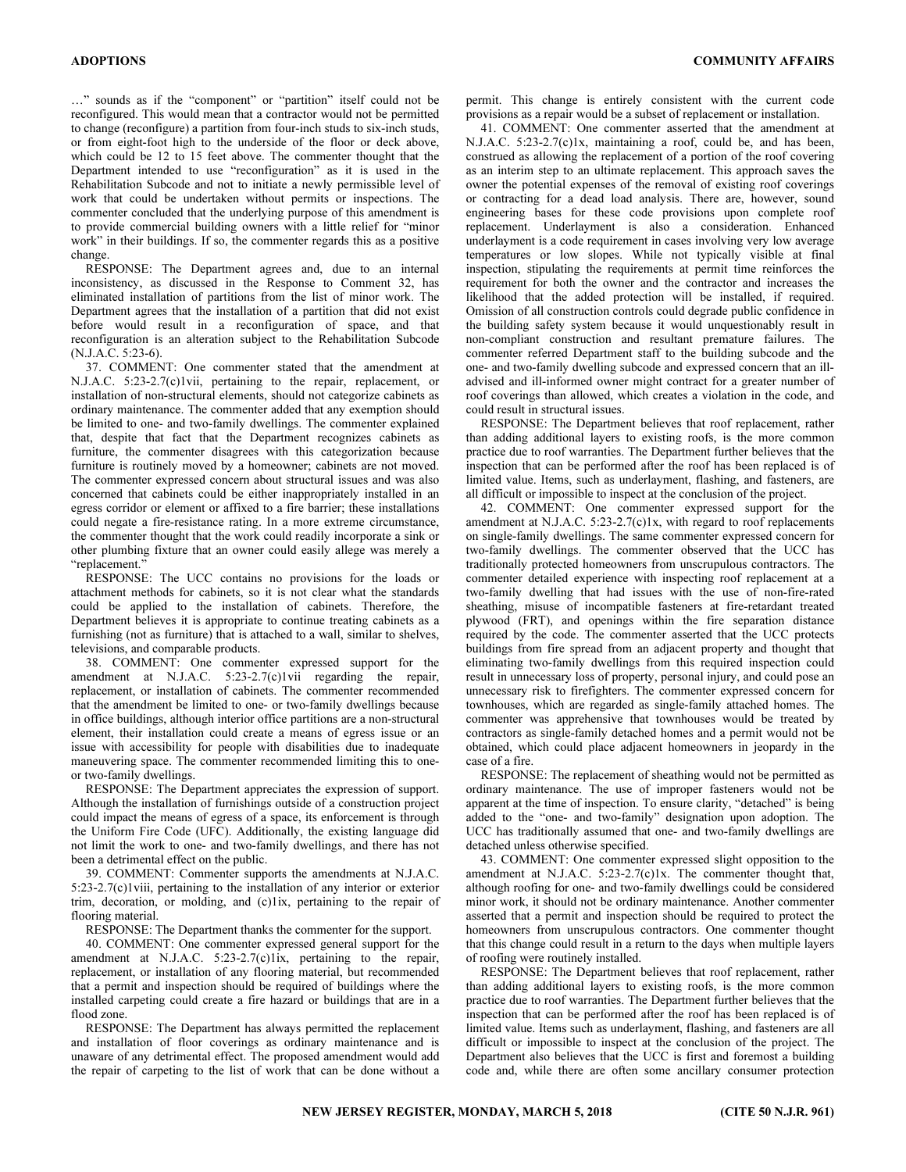…" sounds as if the "component" or "partition" itself could not be reconfigured. This would mean that a contractor would not be permitted to change (reconfigure) a partition from four-inch studs to six-inch studs, or from eight-foot high to the underside of the floor or deck above, which could be 12 to 15 feet above. The commenter thought that the Department intended to use "reconfiguration" as it is used in the Rehabilitation Subcode and not to initiate a newly permissible level of work that could be undertaken without permits or inspections. The commenter concluded that the underlying purpose of this amendment is to provide commercial building owners with a little relief for "minor work" in their buildings. If so, the commenter regards this as a positive change.

RESPONSE: The Department agrees and, due to an internal inconsistency, as discussed in the Response to Comment 32, has eliminated installation of partitions from the list of minor work. The Department agrees that the installation of a partition that did not exist before would result in a reconfiguration of space, and that reconfiguration is an alteration subject to the Rehabilitation Subcode (N.J.A.C. 5:23-6).

37. COMMENT: One commenter stated that the amendment at N.J.A.C. 5:23-2.7(c)1vii, pertaining to the repair, replacement, or installation of non-structural elements, should not categorize cabinets as ordinary maintenance. The commenter added that any exemption should be limited to one- and two-family dwellings. The commenter explained that, despite that fact that the Department recognizes cabinets as furniture, the commenter disagrees with this categorization because furniture is routinely moved by a homeowner; cabinets are not moved. The commenter expressed concern about structural issues and was also concerned that cabinets could be either inappropriately installed in an egress corridor or element or affixed to a fire barrier; these installations could negate a fire-resistance rating. In a more extreme circumstance, the commenter thought that the work could readily incorporate a sink or other plumbing fixture that an owner could easily allege was merely a "replacement."

RESPONSE: The UCC contains no provisions for the loads or attachment methods for cabinets, so it is not clear what the standards could be applied to the installation of cabinets. Therefore, the Department believes it is appropriate to continue treating cabinets as a furnishing (not as furniture) that is attached to a wall, similar to shelves, televisions, and comparable products.

38. COMMENT: One commenter expressed support for the amendment at N.J.A.C. 5:23-2.7(c)1vii regarding the repair, replacement, or installation of cabinets. The commenter recommended that the amendment be limited to one- or two-family dwellings because in office buildings, although interior office partitions are a non-structural element, their installation could create a means of egress issue or an issue with accessibility for people with disabilities due to inadequate maneuvering space. The commenter recommended limiting this to oneor two-family dwellings.

RESPONSE: The Department appreciates the expression of support. Although the installation of furnishings outside of a construction project could impact the means of egress of a space, its enforcement is through the Uniform Fire Code (UFC). Additionally, the existing language did not limit the work to one- and two-family dwellings, and there has not been a detrimental effect on the public.

39. COMMENT: Commenter supports the amendments at N.J.A.C. 5:23-2.7(c)1viii, pertaining to the installation of any interior or exterior trim, decoration, or molding, and (c)1ix, pertaining to the repair of flooring material.

RESPONSE: The Department thanks the commenter for the support.

40. COMMENT: One commenter expressed general support for the amendment at N.J.A.C. 5:23-2.7(c)1ix, pertaining to the repair, replacement, or installation of any flooring material, but recommended that a permit and inspection should be required of buildings where the installed carpeting could create a fire hazard or buildings that are in a flood zone.

RESPONSE: The Department has always permitted the replacement and installation of floor coverings as ordinary maintenance and is unaware of any detrimental effect. The proposed amendment would add the repair of carpeting to the list of work that can be done without a permit. This change is entirely consistent with the current code provisions as a repair would be a subset of replacement or installation.

41. COMMENT: One commenter asserted that the amendment at N.J.A.C. 5:23-2.7(c)1x, maintaining a roof, could be, and has been, construed as allowing the replacement of a portion of the roof covering as an interim step to an ultimate replacement. This approach saves the owner the potential expenses of the removal of existing roof coverings or contracting for a dead load analysis. There are, however, sound engineering bases for these code provisions upon complete roof replacement. Underlayment is also a consideration. Enhanced underlayment is a code requirement in cases involving very low average temperatures or low slopes. While not typically visible at final inspection, stipulating the requirements at permit time reinforces the requirement for both the owner and the contractor and increases the likelihood that the added protection will be installed, if required. Omission of all construction controls could degrade public confidence in the building safety system because it would unquestionably result in non-compliant construction and resultant premature failures. The commenter referred Department staff to the building subcode and the one- and two-family dwelling subcode and expressed concern that an illadvised and ill-informed owner might contract for a greater number of roof coverings than allowed, which creates a violation in the code, and could result in structural issues.

RESPONSE: The Department believes that roof replacement, rather than adding additional layers to existing roofs, is the more common practice due to roof warranties. The Department further believes that the inspection that can be performed after the roof has been replaced is of limited value. Items, such as underlayment, flashing, and fasteners, are all difficult or impossible to inspect at the conclusion of the project.

42. COMMENT: One commenter expressed support for the amendment at N.J.A.C. 5:23-2.7(c)1x, with regard to roof replacements on single-family dwellings. The same commenter expressed concern for two-family dwellings. The commenter observed that the UCC has traditionally protected homeowners from unscrupulous contractors. The commenter detailed experience with inspecting roof replacement at a two-family dwelling that had issues with the use of non-fire-rated sheathing, misuse of incompatible fasteners at fire-retardant treated plywood (FRT), and openings within the fire separation distance required by the code. The commenter asserted that the UCC protects buildings from fire spread from an adjacent property and thought that eliminating two-family dwellings from this required inspection could result in unnecessary loss of property, personal injury, and could pose an unnecessary risk to firefighters. The commenter expressed concern for townhouses, which are regarded as single-family attached homes. The commenter was apprehensive that townhouses would be treated by contractors as single-family detached homes and a permit would not be obtained, which could place adjacent homeowners in jeopardy in the case of a fire.

RESPONSE: The replacement of sheathing would not be permitted as ordinary maintenance. The use of improper fasteners would not be apparent at the time of inspection. To ensure clarity, "detached" is being added to the "one- and two-family" designation upon adoption. The UCC has traditionally assumed that one- and two-family dwellings are detached unless otherwise specified.

43. COMMENT: One commenter expressed slight opposition to the amendment at N.J.A.C. 5:23-2.7(c)1x. The commenter thought that, although roofing for one- and two-family dwellings could be considered minor work, it should not be ordinary maintenance. Another commenter asserted that a permit and inspection should be required to protect the homeowners from unscrupulous contractors. One commenter thought that this change could result in a return to the days when multiple layers of roofing were routinely installed.

RESPONSE: The Department believes that roof replacement, rather than adding additional layers to existing roofs, is the more common practice due to roof warranties. The Department further believes that the inspection that can be performed after the roof has been replaced is of limited value. Items such as underlayment, flashing, and fasteners are all difficult or impossible to inspect at the conclusion of the project. The Department also believes that the UCC is first and foremost a building code and, while there are often some ancillary consumer protection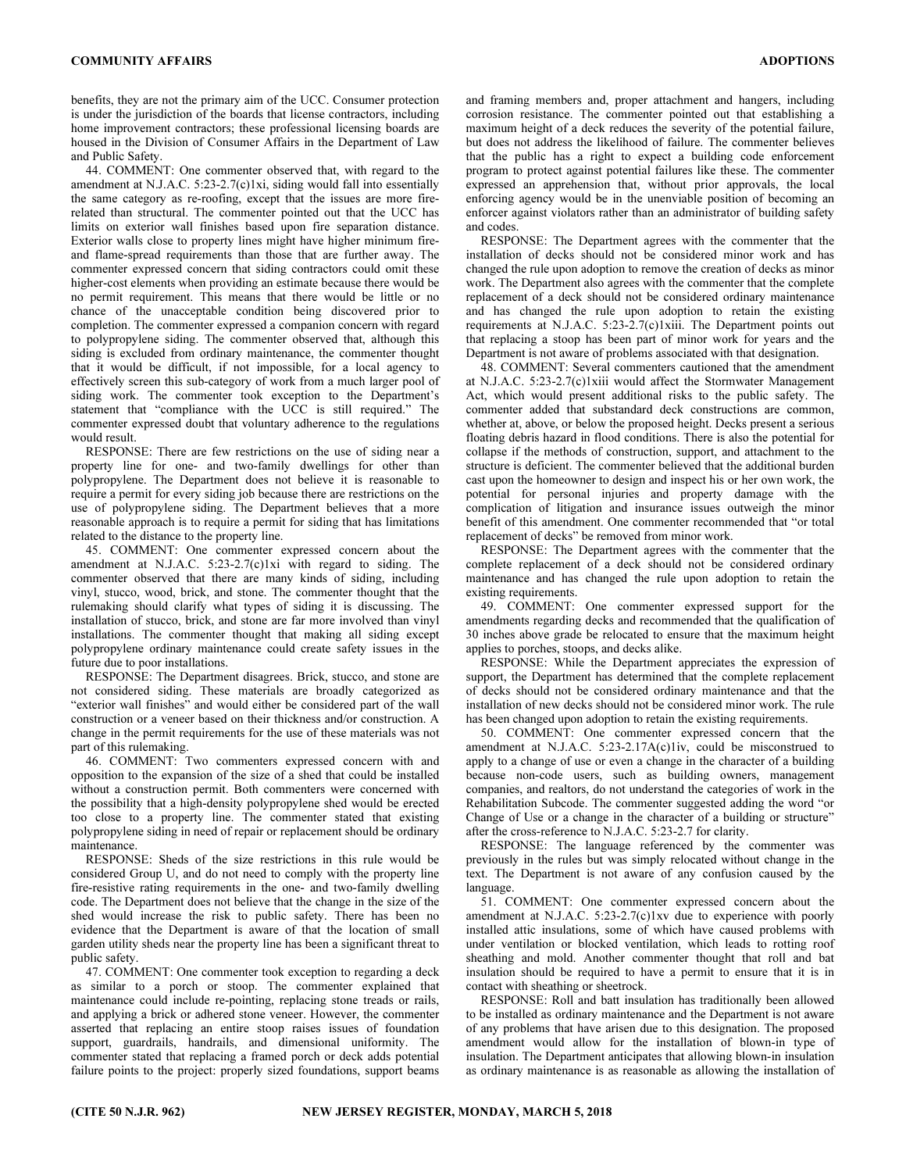benefits, they are not the primary aim of the UCC. Consumer protection is under the jurisdiction of the boards that license contractors, including home improvement contractors; these professional licensing boards are housed in the Division of Consumer Affairs in the Department of Law and Public Safety.

44. COMMENT: One commenter observed that, with regard to the amendment at N.J.A.C. 5:23-2.7(c)1xi, siding would fall into essentially the same category as re-roofing, except that the issues are more firerelated than structural. The commenter pointed out that the UCC has limits on exterior wall finishes based upon fire separation distance. Exterior walls close to property lines might have higher minimum fireand flame-spread requirements than those that are further away. The commenter expressed concern that siding contractors could omit these higher-cost elements when providing an estimate because there would be no permit requirement. This means that there would be little or no chance of the unacceptable condition being discovered prior to completion. The commenter expressed a companion concern with regard to polypropylene siding. The commenter observed that, although this siding is excluded from ordinary maintenance, the commenter thought that it would be difficult, if not impossible, for a local agency to effectively screen this sub-category of work from a much larger pool of siding work. The commenter took exception to the Department's statement that "compliance with the UCC is still required." The commenter expressed doubt that voluntary adherence to the regulations would result.

RESPONSE: There are few restrictions on the use of siding near a property line for one- and two-family dwellings for other than polypropylene. The Department does not believe it is reasonable to require a permit for every siding job because there are restrictions on the use of polypropylene siding. The Department believes that a more reasonable approach is to require a permit for siding that has limitations related to the distance to the property line.

45. COMMENT: One commenter expressed concern about the amendment at N.J.A.C. 5:23-2.7(c)1xi with regard to siding. The commenter observed that there are many kinds of siding, including vinyl, stucco, wood, brick, and stone. The commenter thought that the rulemaking should clarify what types of siding it is discussing. The installation of stucco, brick, and stone are far more involved than vinyl installations. The commenter thought that making all siding except polypropylene ordinary maintenance could create safety issues in the future due to poor installations.

RESPONSE: The Department disagrees. Brick, stucco, and stone are not considered siding. These materials are broadly categorized as "exterior wall finishes" and would either be considered part of the wall construction or a veneer based on their thickness and/or construction. A change in the permit requirements for the use of these materials was not part of this rulemaking.

46. COMMENT: Two commenters expressed concern with and opposition to the expansion of the size of a shed that could be installed without a construction permit. Both commenters were concerned with the possibility that a high-density polypropylene shed would be erected too close to a property line. The commenter stated that existing polypropylene siding in need of repair or replacement should be ordinary maintenance.

RESPONSE: Sheds of the size restrictions in this rule would be considered Group U, and do not need to comply with the property line fire-resistive rating requirements in the one- and two-family dwelling code. The Department does not believe that the change in the size of the shed would increase the risk to public safety. There has been no evidence that the Department is aware of that the location of small garden utility sheds near the property line has been a significant threat to public safety.

47. COMMENT: One commenter took exception to regarding a deck as similar to a porch or stoop. The commenter explained that maintenance could include re-pointing, replacing stone treads or rails, and applying a brick or adhered stone veneer. However, the commenter asserted that replacing an entire stoop raises issues of foundation support, guardrails, handrails, and dimensional uniformity. The commenter stated that replacing a framed porch or deck adds potential failure points to the project: properly sized foundations, support beams

and framing members and, proper attachment and hangers, including corrosion resistance. The commenter pointed out that establishing a maximum height of a deck reduces the severity of the potential failure, but does not address the likelihood of failure. The commenter believes that the public has a right to expect a building code enforcement program to protect against potential failures like these. The commenter expressed an apprehension that, without prior approvals, the local enforcing agency would be in the unenviable position of becoming an enforcer against violators rather than an administrator of building safety and codes.

RESPONSE: The Department agrees with the commenter that the installation of decks should not be considered minor work and has changed the rule upon adoption to remove the creation of decks as minor work. The Department also agrees with the commenter that the complete replacement of a deck should not be considered ordinary maintenance and has changed the rule upon adoption to retain the existing requirements at N.J.A.C. 5:23-2.7(c)1xiii. The Department points out that replacing a stoop has been part of minor work for years and the Department is not aware of problems associated with that designation.

48. COMMENT: Several commenters cautioned that the amendment at N.J.A.C. 5:23-2.7(c)1xiii would affect the Stormwater Management Act, which would present additional risks to the public safety. The commenter added that substandard deck constructions are common, whether at, above, or below the proposed height. Decks present a serious floating debris hazard in flood conditions. There is also the potential for collapse if the methods of construction, support, and attachment to the structure is deficient. The commenter believed that the additional burden cast upon the homeowner to design and inspect his or her own work, the potential for personal injuries and property damage with the complication of litigation and insurance issues outweigh the minor benefit of this amendment. One commenter recommended that "or total replacement of decks" be removed from minor work.

RESPONSE: The Department agrees with the commenter that the complete replacement of a deck should not be considered ordinary maintenance and has changed the rule upon adoption to retain the existing requirements.

49. COMMENT: One commenter expressed support for the amendments regarding decks and recommended that the qualification of 30 inches above grade be relocated to ensure that the maximum height applies to porches, stoops, and decks alike.

RESPONSE: While the Department appreciates the expression of support, the Department has determined that the complete replacement of decks should not be considered ordinary maintenance and that the installation of new decks should not be considered minor work. The rule has been changed upon adoption to retain the existing requirements.

50. COMMENT: One commenter expressed concern that the amendment at N.J.A.C. 5:23-2.17A(c)1iv, could be misconstrued to apply to a change of use or even a change in the character of a building because non-code users, such as building owners, management companies, and realtors, do not understand the categories of work in the Rehabilitation Subcode. The commenter suggested adding the word "or Change of Use or a change in the character of a building or structure" after the cross-reference to N.J.A.C. 5:23-2.7 for clarity.

RESPONSE: The language referenced by the commenter was previously in the rules but was simply relocated without change in the text. The Department is not aware of any confusion caused by the language.

51. COMMENT: One commenter expressed concern about the amendment at N.J.A.C. 5:23-2.7(c)1xv due to experience with poorly installed attic insulations, some of which have caused problems with under ventilation or blocked ventilation, which leads to rotting roof sheathing and mold. Another commenter thought that roll and bat insulation should be required to have a permit to ensure that it is in contact with sheathing or sheetrock.

RESPONSE: Roll and batt insulation has traditionally been allowed to be installed as ordinary maintenance and the Department is not aware of any problems that have arisen due to this designation. The proposed amendment would allow for the installation of blown-in type of insulation. The Department anticipates that allowing blown-in insulation as ordinary maintenance is as reasonable as allowing the installation of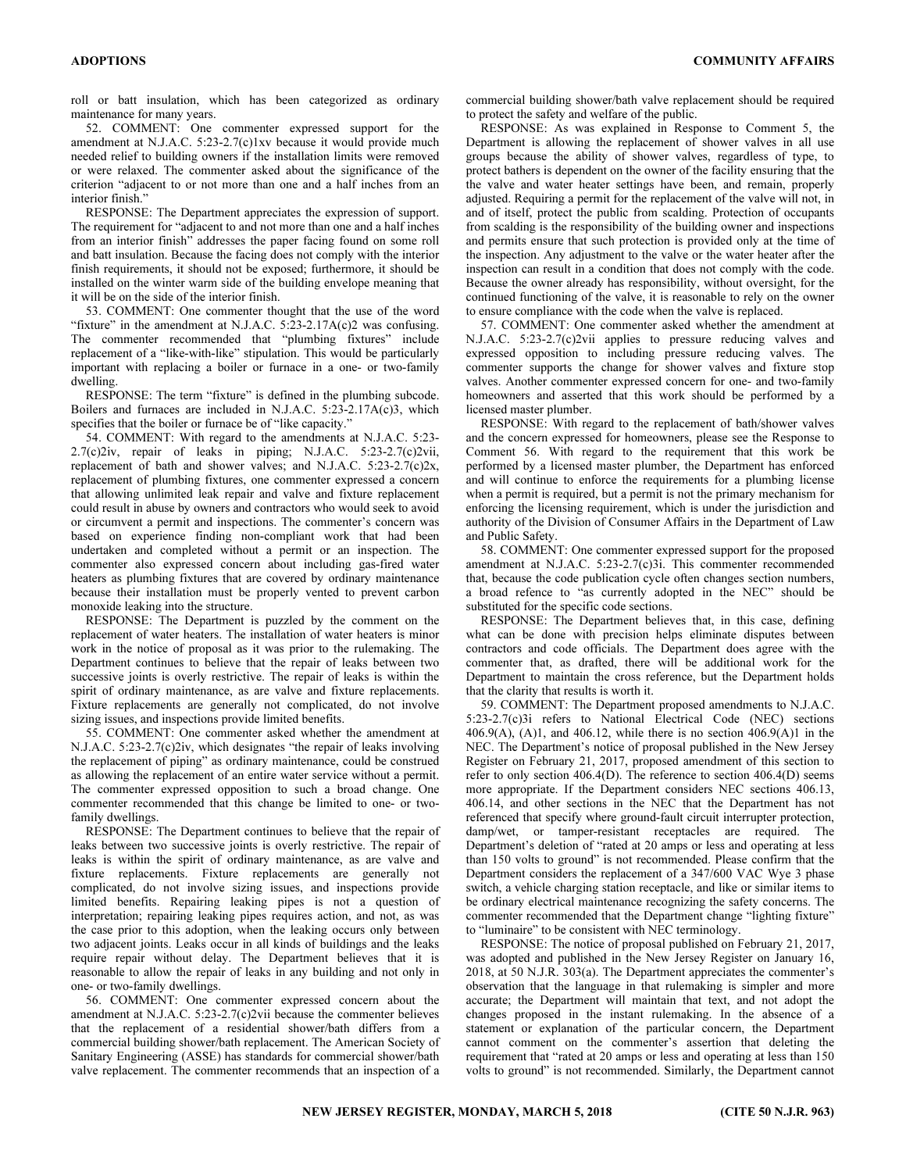roll or batt insulation, which has been categorized as ordinary maintenance for many years.

52. COMMENT: One commenter expressed support for the amendment at N.J.A.C. 5:23-2.7(c)1xv because it would provide much needed relief to building owners if the installation limits were removed or were relaxed. The commenter asked about the significance of the criterion "adjacent to or not more than one and a half inches from an interior finish."

RESPONSE: The Department appreciates the expression of support. The requirement for "adjacent to and not more than one and a half inches from an interior finish" addresses the paper facing found on some roll and batt insulation. Because the facing does not comply with the interior finish requirements, it should not be exposed; furthermore, it should be installed on the winter warm side of the building envelope meaning that it will be on the side of the interior finish.

53. COMMENT: One commenter thought that the use of the word "fixture" in the amendment at N.J.A.C. 5:23-2.17A(c)2 was confusing. The commenter recommended that "plumbing fixtures" include replacement of a "like-with-like" stipulation. This would be particularly important with replacing a boiler or furnace in a one- or two-family dwelling.

RESPONSE: The term "fixture" is defined in the plumbing subcode. Boilers and furnaces are included in N.J.A.C. 5:23-2.17A(c)3, which specifies that the boiler or furnace be of "like capacity."

54. COMMENT: With regard to the amendments at N.J.A.C. 5:23- 2.7(c)2iv, repair of leaks in piping; N.J.A.C. 5:23-2.7(c)2vii, replacement of bath and shower valves; and N.J.A.C. 5:23-2.7(c)2x, replacement of plumbing fixtures, one commenter expressed a concern that allowing unlimited leak repair and valve and fixture replacement could result in abuse by owners and contractors who would seek to avoid or circumvent a permit and inspections. The commenter's concern was based on experience finding non-compliant work that had been undertaken and completed without a permit or an inspection. The commenter also expressed concern about including gas-fired water heaters as plumbing fixtures that are covered by ordinary maintenance because their installation must be properly vented to prevent carbon monoxide leaking into the structure.

RESPONSE: The Department is puzzled by the comment on the replacement of water heaters. The installation of water heaters is minor work in the notice of proposal as it was prior to the rulemaking. The Department continues to believe that the repair of leaks between two successive joints is overly restrictive. The repair of leaks is within the spirit of ordinary maintenance, as are valve and fixture replacements. Fixture replacements are generally not complicated, do not involve sizing issues, and inspections provide limited benefits.

55. COMMENT: One commenter asked whether the amendment at N.J.A.C. 5:23-2.7(c)2iv, which designates "the repair of leaks involving the replacement of piping" as ordinary maintenance, could be construed as allowing the replacement of an entire water service without a permit. The commenter expressed opposition to such a broad change. One commenter recommended that this change be limited to one- or twofamily dwellings.

RESPONSE: The Department continues to believe that the repair of leaks between two successive joints is overly restrictive. The repair of leaks is within the spirit of ordinary maintenance, as are valve and fixture replacements. Fixture replacements are generally not complicated, do not involve sizing issues, and inspections provide limited benefits. Repairing leaking pipes is not a question of interpretation; repairing leaking pipes requires action, and not, as was the case prior to this adoption, when the leaking occurs only between two adjacent joints. Leaks occur in all kinds of buildings and the leaks require repair without delay. The Department believes that it is reasonable to allow the repair of leaks in any building and not only in one- or two-family dwellings.

56. COMMENT: One commenter expressed concern about the amendment at N.J.A.C. 5:23-2.7(c)2vii because the commenter believes that the replacement of a residential shower/bath differs from a commercial building shower/bath replacement. The American Society of Sanitary Engineering (ASSE) has standards for commercial shower/bath valve replacement. The commenter recommends that an inspection of a

commercial building shower/bath valve replacement should be required to protect the safety and welfare of the public.

RESPONSE: As was explained in Response to Comment 5, the Department is allowing the replacement of shower valves in all use groups because the ability of shower valves, regardless of type, to protect bathers is dependent on the owner of the facility ensuring that the the valve and water heater settings have been, and remain, properly adjusted. Requiring a permit for the replacement of the valve will not, in and of itself, protect the public from scalding. Protection of occupants from scalding is the responsibility of the building owner and inspections and permits ensure that such protection is provided only at the time of the inspection. Any adjustment to the valve or the water heater after the inspection can result in a condition that does not comply with the code. Because the owner already has responsibility, without oversight, for the continued functioning of the valve, it is reasonable to rely on the owner to ensure compliance with the code when the valve is replaced.

57. COMMENT: One commenter asked whether the amendment at N.J.A.C. 5:23-2.7(c)2vii applies to pressure reducing valves and expressed opposition to including pressure reducing valves. The commenter supports the change for shower valves and fixture stop valves. Another commenter expressed concern for one- and two-family homeowners and asserted that this work should be performed by a licensed master plumber.

RESPONSE: With regard to the replacement of bath/shower valves and the concern expressed for homeowners, please see the Response to Comment 56. With regard to the requirement that this work be performed by a licensed master plumber, the Department has enforced and will continue to enforce the requirements for a plumbing license when a permit is required, but a permit is not the primary mechanism for enforcing the licensing requirement, which is under the jurisdiction and authority of the Division of Consumer Affairs in the Department of Law and Public Safety.

58. COMMENT: One commenter expressed support for the proposed amendment at N.J.A.C. 5:23-2.7(c)3i. This commenter recommended that, because the code publication cycle often changes section numbers, a broad refence to "as currently adopted in the NEC" should be substituted for the specific code sections.

RESPONSE: The Department believes that, in this case, defining what can be done with precision helps eliminate disputes between contractors and code officials. The Department does agree with the commenter that, as drafted, there will be additional work for the Department to maintain the cross reference, but the Department holds that the clarity that results is worth it.

59. COMMENT: The Department proposed amendments to N.J.A.C. 5:23-2.7(c)3i refers to National Electrical Code (NEC) sections 406.9(A), (A)1, and 406.12, while there is no section  $406.9(A)1$  in the NEC. The Department's notice of proposal published in the New Jersey Register on February 21, 2017, proposed amendment of this section to refer to only section 406.4(D). The reference to section 406.4(D) seems more appropriate. If the Department considers NEC sections 406.13, 406.14, and other sections in the NEC that the Department has not referenced that specify where ground-fault circuit interrupter protection, damp/wet, or tamper-resistant receptacles are required. The Department's deletion of "rated at 20 amps or less and operating at less than 150 volts to ground" is not recommended. Please confirm that the Department considers the replacement of a 347/600 VAC Wye 3 phase switch, a vehicle charging station receptacle, and like or similar items to be ordinary electrical maintenance recognizing the safety concerns. The commenter recommended that the Department change "lighting fixture" to "luminaire" to be consistent with NEC terminology.

RESPONSE: The notice of proposal published on February 21, 2017, was adopted and published in the New Jersey Register on January 16, 2018, at 50 N.J.R. 303(a). The Department appreciates the commenter's observation that the language in that rulemaking is simpler and more accurate; the Department will maintain that text, and not adopt the changes proposed in the instant rulemaking. In the absence of a statement or explanation of the particular concern, the Department cannot comment on the commenter's assertion that deleting the requirement that "rated at 20 amps or less and operating at less than 150 volts to ground" is not recommended. Similarly, the Department cannot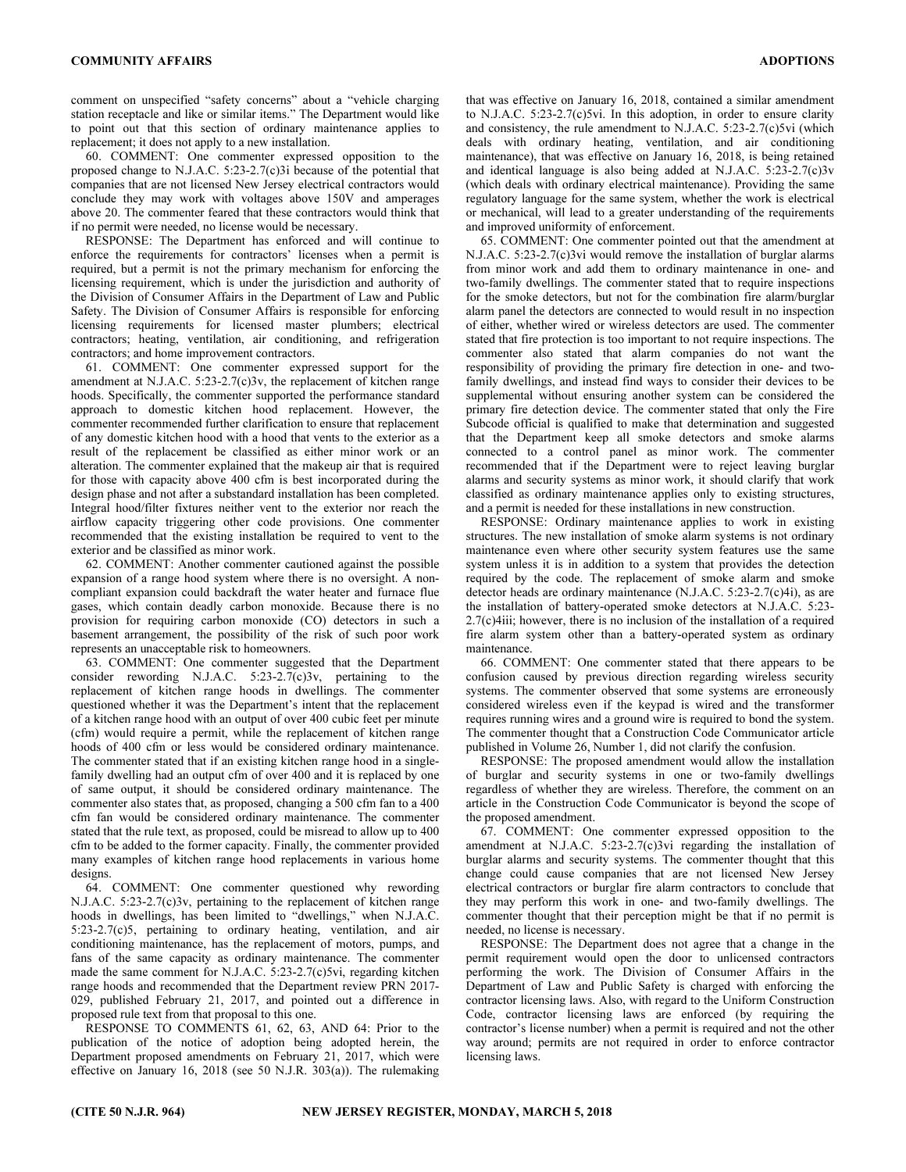comment on unspecified "safety concerns" about a "vehicle charging station receptacle and like or similar items." The Department would like to point out that this section of ordinary maintenance applies to replacement; it does not apply to a new installation.

60. COMMENT: One commenter expressed opposition to the proposed change to N.J.A.C. 5:23-2.7(c)3i because of the potential that companies that are not licensed New Jersey electrical contractors would conclude they may work with voltages above 150V and amperages above 20. The commenter feared that these contractors would think that if no permit were needed, no license would be necessary.

RESPONSE: The Department has enforced and will continue to enforce the requirements for contractors' licenses when a permit is required, but a permit is not the primary mechanism for enforcing the licensing requirement, which is under the jurisdiction and authority of the Division of Consumer Affairs in the Department of Law and Public Safety. The Division of Consumer Affairs is responsible for enforcing licensing requirements for licensed master plumbers; electrical contractors; heating, ventilation, air conditioning, and refrigeration contractors; and home improvement contractors.

61. COMMENT: One commenter expressed support for the amendment at N.J.A.C. 5:23-2.7(c)3v, the replacement of kitchen range hoods. Specifically, the commenter supported the performance standard approach to domestic kitchen hood replacement. However, the commenter recommended further clarification to ensure that replacement of any domestic kitchen hood with a hood that vents to the exterior as a result of the replacement be classified as either minor work or an alteration. The commenter explained that the makeup air that is required for those with capacity above 400 cfm is best incorporated during the design phase and not after a substandard installation has been completed. Integral hood/filter fixtures neither vent to the exterior nor reach the airflow capacity triggering other code provisions. One commenter recommended that the existing installation be required to vent to the exterior and be classified as minor work.

62. COMMENT: Another commenter cautioned against the possible expansion of a range hood system where there is no oversight. A noncompliant expansion could backdraft the water heater and furnace flue gases, which contain deadly carbon monoxide. Because there is no provision for requiring carbon monoxide (CO) detectors in such a basement arrangement, the possibility of the risk of such poor work represents an unacceptable risk to homeowners.

63. COMMENT: One commenter suggested that the Department consider rewording N.J.A.C.  $5:23-2.7(c)3v$ , pertaining to the replacement of kitchen range hoods in dwellings. The commenter questioned whether it was the Department's intent that the replacement of a kitchen range hood with an output of over 400 cubic feet per minute (cfm) would require a permit, while the replacement of kitchen range hoods of 400 cfm or less would be considered ordinary maintenance. The commenter stated that if an existing kitchen range hood in a singlefamily dwelling had an output cfm of over 400 and it is replaced by one of same output, it should be considered ordinary maintenance. The commenter also states that, as proposed, changing a 500 cfm fan to a 400 cfm fan would be considered ordinary maintenance. The commenter stated that the rule text, as proposed, could be misread to allow up to 400 cfm to be added to the former capacity. Finally, the commenter provided many examples of kitchen range hood replacements in various home designs.

64. COMMENT: One commenter questioned why rewording N.J.A.C. 5:23-2.7(c)3v, pertaining to the replacement of kitchen range hoods in dwellings, has been limited to "dwellings," when N.J.A.C. 5:23-2.7(c)5, pertaining to ordinary heating, ventilation, and air conditioning maintenance, has the replacement of motors, pumps, and fans of the same capacity as ordinary maintenance. The commenter made the same comment for N.J.A.C. 5:23-2.7(c)5vi, regarding kitchen range hoods and recommended that the Department review PRN 2017- 029, published February 21, 2017, and pointed out a difference in proposed rule text from that proposal to this one.

RESPONSE TO COMMENTS 61, 62, 63, AND 64: Prior to the publication of the notice of adoption being adopted herein, the Department proposed amendments on February 21, 2017, which were effective on January 16, 2018 (see 50 N.J.R. 303(a)). The rulemaking

that was effective on January 16, 2018, contained a similar amendment to N.J.A.C. 5:23-2.7(c)5vi. In this adoption, in order to ensure clarity and consistency, the rule amendment to N.J.A.C. 5:23-2.7(c)5vi (which deals with ordinary heating, ventilation, and air conditioning maintenance), that was effective on January 16, 2018, is being retained and identical language is also being added at N.J.A.C. 5:23-2.7(c)3v (which deals with ordinary electrical maintenance). Providing the same regulatory language for the same system, whether the work is electrical or mechanical, will lead to a greater understanding of the requirements and improved uniformity of enforcement.

65. COMMENT: One commenter pointed out that the amendment at N.J.A.C. 5:23-2.7(c)3vi would remove the installation of burglar alarms from minor work and add them to ordinary maintenance in one- and two-family dwellings. The commenter stated that to require inspections for the smoke detectors, but not for the combination fire alarm/burglar alarm panel the detectors are connected to would result in no inspection of either, whether wired or wireless detectors are used. The commenter stated that fire protection is too important to not require inspections. The commenter also stated that alarm companies do not want the responsibility of providing the primary fire detection in one- and twofamily dwellings, and instead find ways to consider their devices to be supplemental without ensuring another system can be considered the primary fire detection device. The commenter stated that only the Fire Subcode official is qualified to make that determination and suggested that the Department keep all smoke detectors and smoke alarms connected to a control panel as minor work. The commenter recommended that if the Department were to reject leaving burglar alarms and security systems as minor work, it should clarify that work classified as ordinary maintenance applies only to existing structures, and a permit is needed for these installations in new construction.

RESPONSE: Ordinary maintenance applies to work in existing structures. The new installation of smoke alarm systems is not ordinary maintenance even where other security system features use the same system unless it is in addition to a system that provides the detection required by the code. The replacement of smoke alarm and smoke detector heads are ordinary maintenance (N.J.A.C. 5:23-2.7(c)4i), as are the installation of battery-operated smoke detectors at N.J.A.C. 5:23- 2.7(c)4iii; however, there is no inclusion of the installation of a required fire alarm system other than a battery-operated system as ordinary maintenance.

66. COMMENT: One commenter stated that there appears to be confusion caused by previous direction regarding wireless security systems. The commenter observed that some systems are erroneously considered wireless even if the keypad is wired and the transformer requires running wires and a ground wire is required to bond the system. The commenter thought that a Construction Code Communicator article published in Volume 26, Number 1, did not clarify the confusion.

RESPONSE: The proposed amendment would allow the installation of burglar and security systems in one or two-family dwellings regardless of whether they are wireless. Therefore, the comment on an article in the Construction Code Communicator is beyond the scope of the proposed amendment.

67. COMMENT: One commenter expressed opposition to the amendment at N.J.A.C. 5:23-2.7(c)3vi regarding the installation of burglar alarms and security systems. The commenter thought that this change could cause companies that are not licensed New Jersey electrical contractors or burglar fire alarm contractors to conclude that they may perform this work in one- and two-family dwellings. The commenter thought that their perception might be that if no permit is needed, no license is necessary.

RESPONSE: The Department does not agree that a change in the permit requirement would open the door to unlicensed contractors performing the work. The Division of Consumer Affairs in the Department of Law and Public Safety is charged with enforcing the contractor licensing laws. Also, with regard to the Uniform Construction Code, contractor licensing laws are enforced (by requiring the contractor's license number) when a permit is required and not the other way around; permits are not required in order to enforce contractor licensing laws.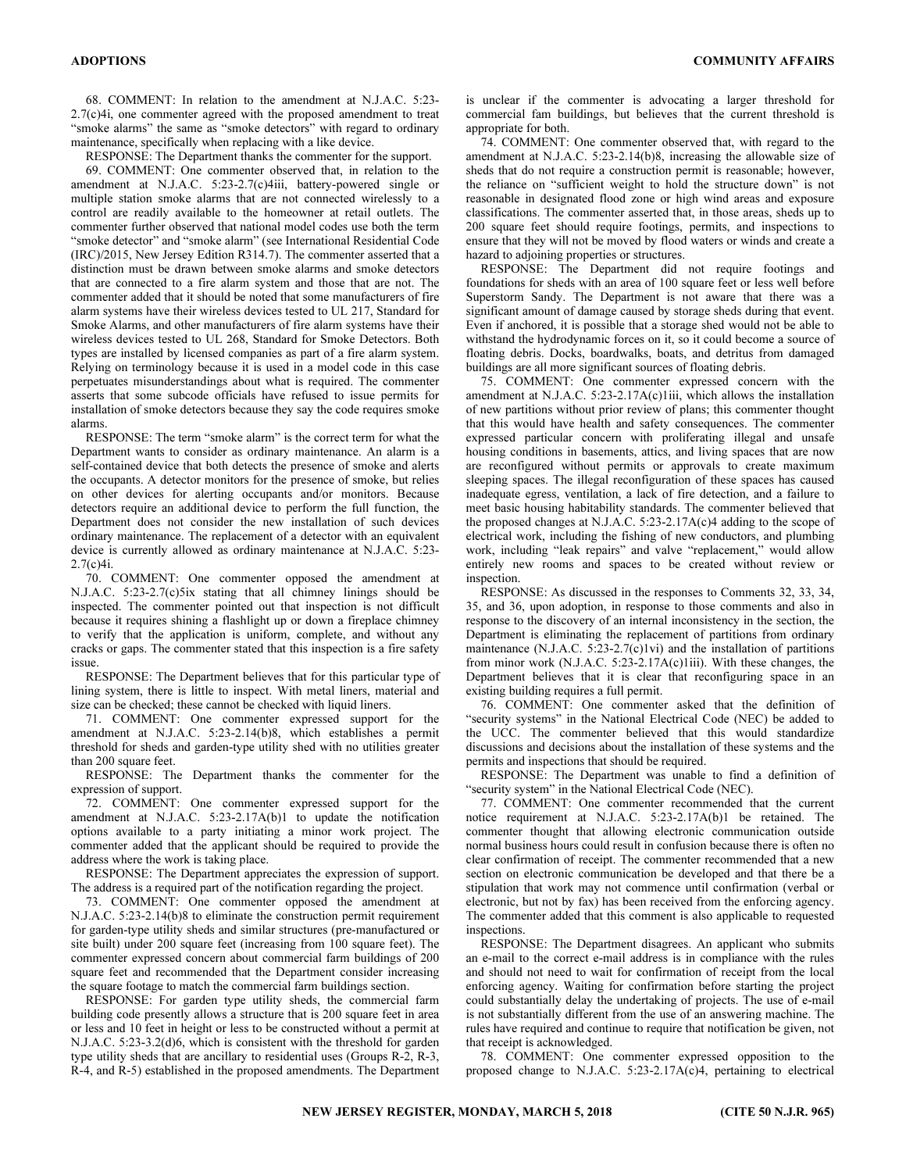68. COMMENT: In relation to the amendment at N.J.A.C. 5:23- 2.7(c)4i, one commenter agreed with the proposed amendment to treat "smoke alarms" the same as "smoke detectors" with regard to ordinary maintenance, specifically when replacing with a like device.

RESPONSE: The Department thanks the commenter for the support.

69. COMMENT: One commenter observed that, in relation to the amendment at N.J.A.C. 5:23-2.7(c)4iii, battery-powered single or multiple station smoke alarms that are not connected wirelessly to a control are readily available to the homeowner at retail outlets. The commenter further observed that national model codes use both the term "smoke detector" and "smoke alarm" (see International Residential Code (IRC)/2015, New Jersey Edition R314.7). The commenter asserted that a distinction must be drawn between smoke alarms and smoke detectors that are connected to a fire alarm system and those that are not. The commenter added that it should be noted that some manufacturers of fire alarm systems have their wireless devices tested to UL 217, Standard for Smoke Alarms, and other manufacturers of fire alarm systems have their wireless devices tested to UL 268, Standard for Smoke Detectors. Both types are installed by licensed companies as part of a fire alarm system. Relying on terminology because it is used in a model code in this case perpetuates misunderstandings about what is required. The commenter asserts that some subcode officials have refused to issue permits for installation of smoke detectors because they say the code requires smoke alarms.

RESPONSE: The term "smoke alarm" is the correct term for what the Department wants to consider as ordinary maintenance. An alarm is a self-contained device that both detects the presence of smoke and alerts the occupants. A detector monitors for the presence of smoke, but relies on other devices for alerting occupants and/or monitors. Because detectors require an additional device to perform the full function, the Department does not consider the new installation of such devices ordinary maintenance. The replacement of a detector with an equivalent device is currently allowed as ordinary maintenance at N.J.A.C. 5:23- 2.7(c)4i.

70. COMMENT: One commenter opposed the amendment at N.J.A.C. 5:23-2.7(c)5ix stating that all chimney linings should be inspected. The commenter pointed out that inspection is not difficult because it requires shining a flashlight up or down a fireplace chimney to verify that the application is uniform, complete, and without any cracks or gaps. The commenter stated that this inspection is a fire safety issue.

RESPONSE: The Department believes that for this particular type of lining system, there is little to inspect. With metal liners, material and size can be checked; these cannot be checked with liquid liners.

71. COMMENT: One commenter expressed support for the amendment at N.J.A.C. 5:23-2.14(b)8, which establishes a permit threshold for sheds and garden-type utility shed with no utilities greater than 200 square feet.

RESPONSE: The Department thanks the commenter for the expression of support.

72. COMMENT: One commenter expressed support for the amendment at N.J.A.C. 5:23-2.17A(b)1 to update the notification options available to a party initiating a minor work project. The commenter added that the applicant should be required to provide the address where the work is taking place.

RESPONSE: The Department appreciates the expression of support. The address is a required part of the notification regarding the project.

73. COMMENT: One commenter opposed the amendment at N.J.A.C. 5:23-2.14(b)8 to eliminate the construction permit requirement for garden-type utility sheds and similar structures (pre-manufactured or site built) under 200 square feet (increasing from 100 square feet). The commenter expressed concern about commercial farm buildings of 200 square feet and recommended that the Department consider increasing the square footage to match the commercial farm buildings section.

RESPONSE: For garden type utility sheds, the commercial farm building code presently allows a structure that is 200 square feet in area or less and 10 feet in height or less to be constructed without a permit at N.J.A.C. 5:23-3.2(d)6, which is consistent with the threshold for garden type utility sheds that are ancillary to residential uses (Groups R-2, R-3, R-4, and R-5) established in the proposed amendments. The Department is unclear if the commenter is advocating a larger threshold for commercial fam buildings, but believes that the current threshold is appropriate for both.

74. COMMENT: One commenter observed that, with regard to the amendment at N.J.A.C. 5:23-2.14(b)8, increasing the allowable size of sheds that do not require a construction permit is reasonable; however, the reliance on "sufficient weight to hold the structure down" is not reasonable in designated flood zone or high wind areas and exposure classifications. The commenter asserted that, in those areas, sheds up to 200 square feet should require footings, permits, and inspections to ensure that they will not be moved by flood waters or winds and create a hazard to adjoining properties or structures.

RESPONSE: The Department did not require footings and foundations for sheds with an area of 100 square feet or less well before Superstorm Sandy. The Department is not aware that there was a significant amount of damage caused by storage sheds during that event. Even if anchored, it is possible that a storage shed would not be able to withstand the hydrodynamic forces on it, so it could become a source of floating debris. Docks, boardwalks, boats, and detritus from damaged buildings are all more significant sources of floating debris.

75. COMMENT: One commenter expressed concern with the amendment at N.J.A.C. 5:23-2.17A(c)1iii, which allows the installation of new partitions without prior review of plans; this commenter thought that this would have health and safety consequences. The commenter expressed particular concern with proliferating illegal and unsafe housing conditions in basements, attics, and living spaces that are now are reconfigured without permits or approvals to create maximum sleeping spaces. The illegal reconfiguration of these spaces has caused inadequate egress, ventilation, a lack of fire detection, and a failure to meet basic housing habitability standards. The commenter believed that the proposed changes at N.J.A.C. 5:23-2.17A(c)4 adding to the scope of electrical work, including the fishing of new conductors, and plumbing work, including "leak repairs" and valve "replacement," would allow entirely new rooms and spaces to be created without review or inspection.

RESPONSE: As discussed in the responses to Comments 32, 33, 34, 35, and 36, upon adoption, in response to those comments and also in response to the discovery of an internal inconsistency in the section, the Department is eliminating the replacement of partitions from ordinary maintenance  $(N.J.A.C. 5:23-2.7(c)1vi)$  and the installation of partitions from minor work (N.J.A.C. 5:23-2.17A(c)1iii). With these changes, the Department believes that it is clear that reconfiguring space in an existing building requires a full permit.

76. COMMENT: One commenter asked that the definition of "security systems" in the National Electrical Code (NEC) be added to the UCC. The commenter believed that this would standardize discussions and decisions about the installation of these systems and the permits and inspections that should be required.

RESPONSE: The Department was unable to find a definition of "security system" in the National Electrical Code (NEC).

77. COMMENT: One commenter recommended that the current notice requirement at N.J.A.C. 5:23-2.17A(b)1 be retained. The commenter thought that allowing electronic communication outside normal business hours could result in confusion because there is often no clear confirmation of receipt. The commenter recommended that a new section on electronic communication be developed and that there be a stipulation that work may not commence until confirmation (verbal or electronic, but not by fax) has been received from the enforcing agency. The commenter added that this comment is also applicable to requested inspections.

RESPONSE: The Department disagrees. An applicant who submits an e-mail to the correct e-mail address is in compliance with the rules and should not need to wait for confirmation of receipt from the local enforcing agency. Waiting for confirmation before starting the project could substantially delay the undertaking of projects. The use of e-mail is not substantially different from the use of an answering machine. The rules have required and continue to require that notification be given, not that receipt is acknowledged.

78. COMMENT: One commenter expressed opposition to the proposed change to N.J.A.C. 5:23-2.17A(c)4, pertaining to electrical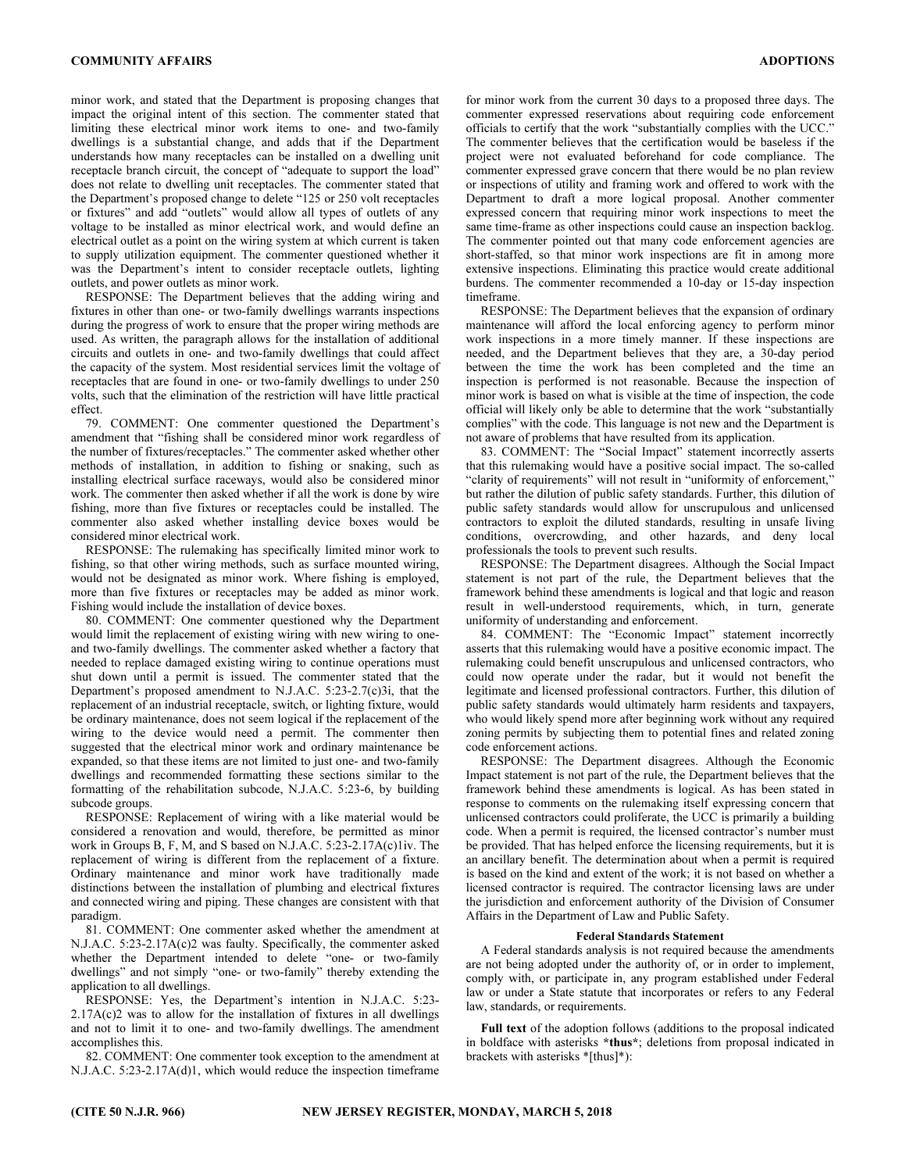minor work, and stated that the Department is proposing changes that impact the original intent of this section. The commenter stated that limiting these electrical minor work items to one- and two-family dwellings is a substantial change, and adds that if the Department understands how many receptacles can be installed on a dwelling unit receptacle branch circuit, the concept of "adequate to support the load" does not relate to dwelling unit receptacles. The commenter stated that the Department's proposed change to delete "125 or 250 volt receptacles or fixtures" and add "outlets" would allow all types of outlets of any voltage to be installed as minor electrical work, and would define an electrical outlet as a point on the wiring system at which current is taken to supply utilization equipment. The commenter questioned whether it was the Department's intent to consider receptacle outlets, lighting outlets, and power outlets as minor work.

RESPONSE: The Department believes that the adding wiring and fixtures in other than one- or two-family dwellings warrants inspections during the progress of work to ensure that the proper wiring methods are used. As written, the paragraph allows for the installation of additional circuits and outlets in one- and two-family dwellings that could affect the capacity of the system. Most residential services limit the voltage of receptacles that are found in one- or two-family dwellings to under 250 volts, such that the elimination of the restriction will have little practical effect.

79. COMMENT: One commenter questioned the Department's amendment that "fishing shall be considered minor work regardless of the number of fixtures/receptacles." The commenter asked whether other methods of installation, in addition to fishing or snaking, such as installing electrical surface raceways, would also be considered minor work. The commenter then asked whether if all the work is done by wire fishing, more than five fixtures or receptacles could be installed. The commenter also asked whether installing device boxes would be considered minor electrical work.

RESPONSE: The rulemaking has specifically limited minor work to fishing, so that other wiring methods, such as surface mounted wiring, would not be designated as minor work. Where fishing is employed, more than five fixtures or receptacles may be added as minor work. Fishing would include the installation of device boxes.

80. COMMENT: One commenter questioned why the Department would limit the replacement of existing wiring with new wiring to oneand two-family dwellings. The commenter asked whether a factory that needed to replace damaged existing wiring to continue operations must shut down until a permit is issued. The commenter stated that the Department's proposed amendment to N.J.A.C. 5:23-2.7(c)3i, that the replacement of an industrial receptacle, switch, or lighting fixture, would be ordinary maintenance, does not seem logical if the replacement of the wiring to the device would need a permit. The commenter then suggested that the electrical minor work and ordinary maintenance be expanded, so that these items are not limited to just one- and two-family dwellings and recommended formatting these sections similar to the formatting of the rehabilitation subcode, N.J.A.C. 5:23-6, by building subcode groups.

RESPONSE: Replacement of wiring with a like material would be considered a renovation and would, therefore, be permitted as minor work in Groups B, F, M, and S based on N.J.A.C. 5:23-2.17A(c)1iv. The replacement of wiring is different from the replacement of a fixture. Ordinary maintenance and minor work have traditionally made distinctions between the installation of plumbing and electrical fixtures and connected wiring and piping. These changes are consistent with that paradigm.

81. COMMENT: One commenter asked whether the amendment at N.J.A.C. 5:23-2.17A(c)2 was faulty. Specifically, the commenter asked whether the Department intended to delete "one- or two-family dwellings" and not simply "one- or two-family" thereby extending the application to all dwellings.

RESPONSE: Yes, the Department's intention in N.J.A.C. 5:23-  $2.17A(c)2$  was to allow for the installation of fixtures in all dwellings and not to limit it to one- and two-family dwellings. The amendment accomplishes this.

82. COMMENT: One commenter took exception to the amendment at N.J.A.C. 5:23-2.17A(d)1, which would reduce the inspection timeframe

for minor work from the current 30 days to a proposed three days. The commenter expressed reservations about requiring code enforcement officials to certify that the work "substantially complies with the UCC." The commenter believes that the certification would be baseless if the project were not evaluated beforehand for code compliance. The commenter expressed grave concern that there would be no plan review or inspections of utility and framing work and offered to work with the Department to draft a more logical proposal. Another commenter expressed concern that requiring minor work inspections to meet the same time-frame as other inspections could cause an inspection backlog. The commenter pointed out that many code enforcement agencies are short-staffed, so that minor work inspections are fit in among more extensive inspections. Eliminating this practice would create additional burdens. The commenter recommended a 10-day or 15-day inspection timeframe.

RESPONSE: The Department believes that the expansion of ordinary maintenance will afford the local enforcing agency to perform minor work inspections in a more timely manner. If these inspections are needed, and the Department believes that they are, a 30-day period between the time the work has been completed and the time an inspection is performed is not reasonable. Because the inspection of minor work is based on what is visible at the time of inspection, the code official will likely only be able to determine that the work "substantially complies" with the code. This language is not new and the Department is not aware of problems that have resulted from its application.

83. COMMENT: The "Social Impact" statement incorrectly asserts that this rulemaking would have a positive social impact. The so-called "clarity of requirements" will not result in "uniformity of enforcement," but rather the dilution of public safety standards. Further, this dilution of public safety standards would allow for unscrupulous and unlicensed contractors to exploit the diluted standards, resulting in unsafe living conditions, overcrowding, and other hazards, and deny local professionals the tools to prevent such results.

RESPONSE: The Department disagrees. Although the Social Impact statement is not part of the rule, the Department believes that the framework behind these amendments is logical and that logic and reason result in well-understood requirements, which, in turn, generate uniformity of understanding and enforcement.

84. COMMENT: The "Economic Impact" statement incorrectly asserts that this rulemaking would have a positive economic impact. The rulemaking could benefit unscrupulous and unlicensed contractors, who could now operate under the radar, but it would not benefit the legitimate and licensed professional contractors. Further, this dilution of public safety standards would ultimately harm residents and taxpayers, who would likely spend more after beginning work without any required zoning permits by subjecting them to potential fines and related zoning code enforcement actions.

RESPONSE: The Department disagrees. Although the Economic Impact statement is not part of the rule, the Department believes that the framework behind these amendments is logical. As has been stated in response to comments on the rulemaking itself expressing concern that unlicensed contractors could proliferate, the UCC is primarily a building code. When a permit is required, the licensed contractor's number must be provided. That has helped enforce the licensing requirements, but it is an ancillary benefit. The determination about when a permit is required is based on the kind and extent of the work; it is not based on whether a licensed contractor is required. The contractor licensing laws are under the jurisdiction and enforcement authority of the Division of Consumer Affairs in the Department of Law and Public Safety.

#### Federal Standards Statement

A Federal standards analysis is not required because the amendments are not being adopted under the authority of, or in order to implement, comply with, or participate in, any program established under Federal law or under a State statute that incorporates or refers to any Federal law, standards, or requirements.

Full text of the adoption follows (additions to the proposal indicated in boldface with asterisks \*thus\*; deletions from proposal indicated in brackets with asterisks \*[thus]\*):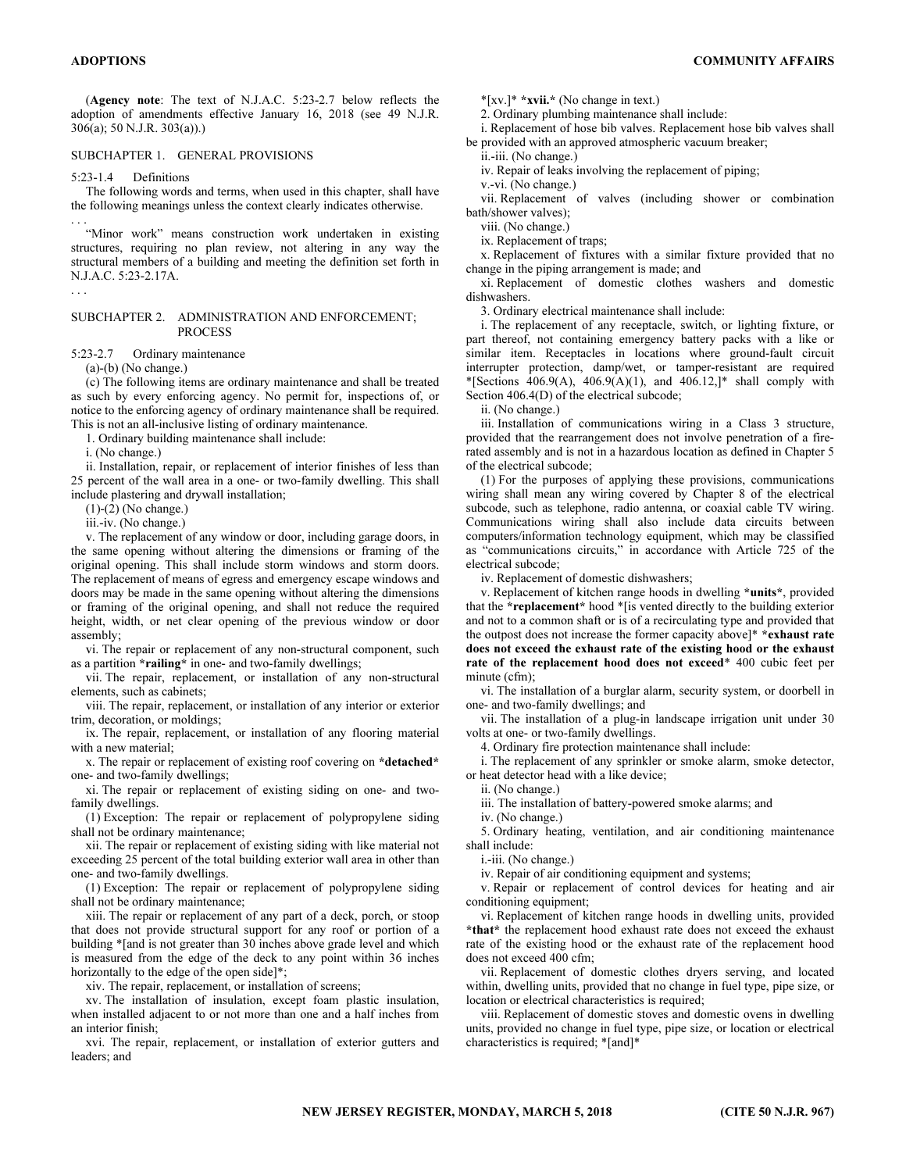(Agency note: The text of N.J.A.C. 5:23-2.7 below reflects the adoption of amendments effective January 16, 2018 (see 49 N.J.R. 306(a); 50 N.J.R. 303(a)).)

#### SUBCHAPTER 1. GENERAL PROVISIONS

5:23-1.4 Definitions

The following words and terms, when used in this chapter, shall have the following meanings unless the context clearly indicates otherwise. . . .

"Minor work" means construction work undertaken in existing structures, requiring no plan review, not altering in any way the structural members of a building and meeting the definition set forth in N.J.A.C. 5:23-2.17A.

#### SUBCHAPTER 2. ADMINISTRATION AND ENFORCEMENT; **PROCESS**

5:23-2.7 Ordinary maintenance

 $(a)-(b)$  (No change.)

. . .

(c) The following items are ordinary maintenance and shall be treated as such by every enforcing agency. No permit for, inspections of, or notice to the enforcing agency of ordinary maintenance shall be required. This is not an all-inclusive listing of ordinary maintenance.

1. Ordinary building maintenance shall include:

i. (No change.)

ii. Installation, repair, or replacement of interior finishes of less than 25 percent of the wall area in a one- or two-family dwelling. This shall include plastering and drywall installation;

(1)-(2) (No change.)

iii.-iv. (No change.)

v. The replacement of any window or door, including garage doors, in the same opening without altering the dimensions or framing of the original opening. This shall include storm windows and storm doors. The replacement of means of egress and emergency escape windows and doors may be made in the same opening without altering the dimensions or framing of the original opening, and shall not reduce the required height, width, or net clear opening of the previous window or door assembly;

vi. The repair or replacement of any non-structural component, such as a partition \*railing\* in one- and two-family dwellings;

vii. The repair, replacement, or installation of any non-structural elements, such as cabinets;

viii. The repair, replacement, or installation of any interior or exterior trim, decoration, or moldings;

ix. The repair, replacement, or installation of any flooring material with a new material;

x. The repair or replacement of existing roof covering on \*detached\* one- and two-family dwellings;

xi. The repair or replacement of existing siding on one- and twofamily dwellings.

(1) Exception: The repair or replacement of polypropylene siding shall not be ordinary maintenance;

xii. The repair or replacement of existing siding with like material not exceeding 25 percent of the total building exterior wall area in other than one- and two-family dwellings.

(1) Exception: The repair or replacement of polypropylene siding shall not be ordinary maintenance;

xiii. The repair or replacement of any part of a deck, porch, or stoop that does not provide structural support for any roof or portion of a building \*[and is not greater than 30 inches above grade level and which is measured from the edge of the deck to any point within 36 inches horizontally to the edge of the open side]\*;

xiv. The repair, replacement, or installation of screens;

xv. The installation of insulation, except foam plastic insulation, when installed adjacent to or not more than one and a half inches from an interior finish;

xvi. The repair, replacement, or installation of exterior gutters and leaders; and

 $*$ [xv.] $*$   $*$ **xvii.** $*$  (No change in text.)

2. Ordinary plumbing maintenance shall include:

i. Replacement of hose bib valves. Replacement hose bib valves shall be provided with an approved atmospheric vacuum breaker;

ii.-iii. (No change.)

iv. Repair of leaks involving the replacement of piping;

v.-vi. (No change.)

vii. Replacement of valves (including shower or combination bath/shower valves);

viii. (No change.)

ix. Replacement of traps;

x. Replacement of fixtures with a similar fixture provided that no change in the piping arrangement is made; and

xi. Replacement of domestic clothes washers and domestic dishwashers.

3. Ordinary electrical maintenance shall include:

i. The replacement of any receptacle, switch, or lighting fixture, or part thereof, not containing emergency battery packs with a like or similar item. Receptacles in locations where ground-fault circuit interrupter protection, damp/wet, or tamper-resistant are required \*[Sections 406.9(A), 406.9(A)(1), and 406.12,]\* shall comply with Section 406.4(D) of the electrical subcode;

ii. (No change.)

iii. Installation of communications wiring in a Class 3 structure, provided that the rearrangement does not involve penetration of a firerated assembly and is not in a hazardous location as defined in Chapter 5 of the electrical subcode;

(1) For the purposes of applying these provisions, communications wiring shall mean any wiring covered by Chapter 8 of the electrical subcode, such as telephone, radio antenna, or coaxial cable TV wiring. Communications wiring shall also include data circuits between computers/information technology equipment, which may be classified as "communications circuits," in accordance with Article 725 of the electrical subcode;

iv. Replacement of domestic dishwashers;

v. Replacement of kitchen range hoods in dwelling \*units\*, provided that the \*replacement\* hood \*[is vented directly to the building exterior and not to a common shaft or is of a recirculating type and provided that the outpost does not increase the former capacity above]\* \*exhaust rate does not exceed the exhaust rate of the existing hood or the exhaust rate of the replacement hood does not exceed\* 400 cubic feet per minute (cfm):

vi. The installation of a burglar alarm, security system, or doorbell in one- and two-family dwellings; and

vii. The installation of a plug-in landscape irrigation unit under 30 volts at one- or two-family dwellings.

4. Ordinary fire protection maintenance shall include:

i. The replacement of any sprinkler or smoke alarm, smoke detector, or heat detector head with a like device;

ii. (No change.)

iii. The installation of battery-powered smoke alarms; and

iv. (No change.)

5. Ordinary heating, ventilation, and air conditioning maintenance shall include:

i.-iii. (No change.)

iv. Repair of air conditioning equipment and systems;

v. Repair or replacement of control devices for heating and air conditioning equipment;

vi. Replacement of kitchen range hoods in dwelling units, provided \*that\* the replacement hood exhaust rate does not exceed the exhaust rate of the existing hood or the exhaust rate of the replacement hood does not exceed 400 cfm;

vii. Replacement of domestic clothes dryers serving, and located within, dwelling units, provided that no change in fuel type, pipe size, or location or electrical characteristics is required;

viii. Replacement of domestic stoves and domestic ovens in dwelling units, provided no change in fuel type, pipe size, or location or electrical characteristics is required; \*[and]\*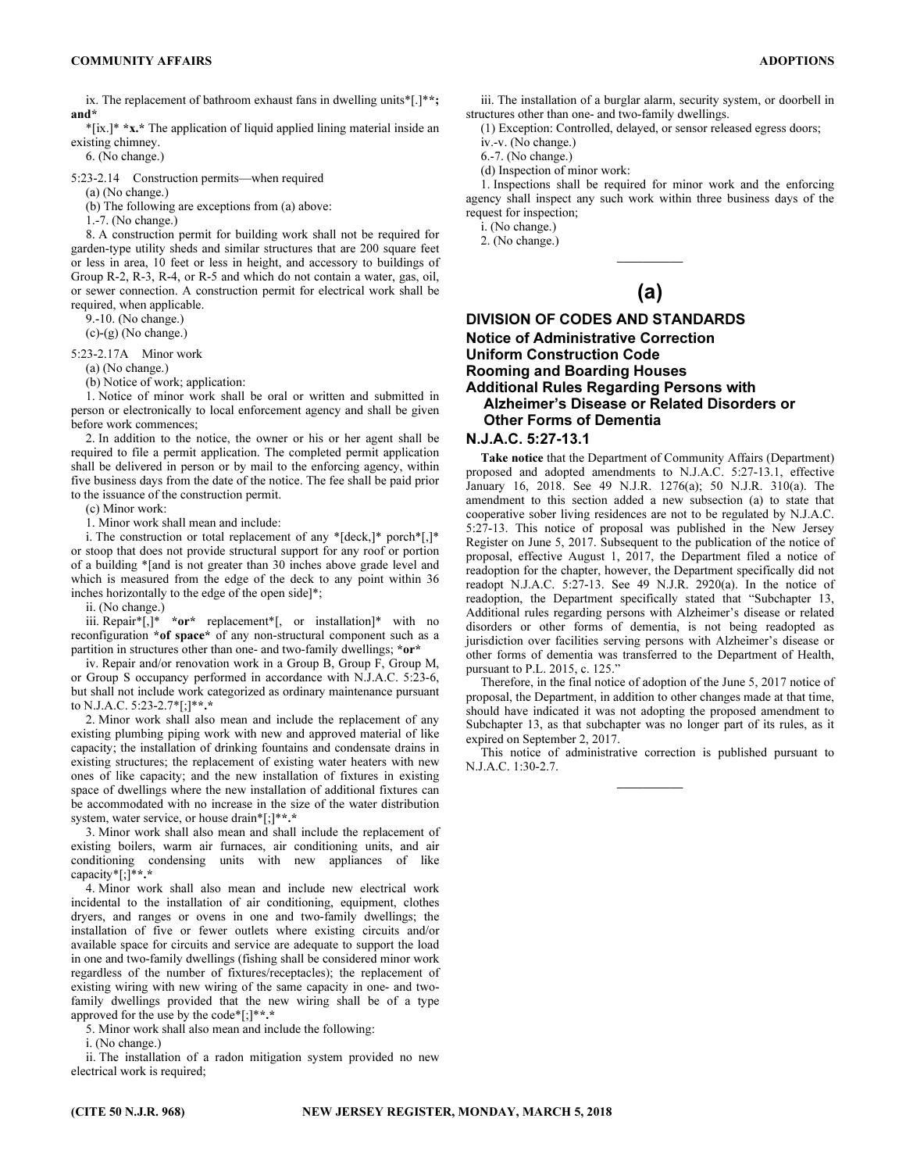ix. The replacement of bathroom exhaust fans in dwelling units\*[.]\*\*; and\*

\*[ix.]\* \*x.\* The application of liquid applied lining material inside an existing chimney.

6. (No change.)

5:23-2.14 Construction permits—when required

(a) (No change.)

(b) The following are exceptions from (a) above:

1.-7. (No change.)

8. A construction permit for building work shall not be required for garden-type utility sheds and similar structures that are 200 square feet or less in area, 10 feet or less in height, and accessory to buildings of Group R-2, R-3, R-4, or R-5 and which do not contain a water, gas, oil, or sewer connection. A construction permit for electrical work shall be required, when applicable.

9.-10. (No change.)

(c)-(g) (No change.)

5:23-2.17A Minor work

(a) (No change.)

(b) Notice of work; application:

1. Notice of minor work shall be oral or written and submitted in person or electronically to local enforcement agency and shall be given before work commences;

2. In addition to the notice, the owner or his or her agent shall be required to file a permit application. The completed permit application shall be delivered in person or by mail to the enforcing agency, within five business days from the date of the notice. The fee shall be paid prior to the issuance of the construction permit.

(c) Minor work:

1. Minor work shall mean and include:

i. The construction or total replacement of any \*[deck,]\* porch\*[,]\* or stoop that does not provide structural support for any roof or portion of a building \*[and is not greater than 30 inches above grade level and which is measured from the edge of the deck to any point within 36 inches horizontally to the edge of the open side]\*;

ii. (No change.)

iii. Repair\*[,]\* \*or\* replacement\*[, or installation]\* with no reconfiguration \*of space\* of any non-structural component such as a partition in structures other than one- and two-family dwellings; \*or\*

iv. Repair and/or renovation work in a Group B, Group F, Group M, or Group S occupancy performed in accordance with N.J.A.C. 5:23-6, but shall not include work categorized as ordinary maintenance pursuant to N.J.A.C. 5:23-2.7\*[;]\*\*.\*

2. Minor work shall also mean and include the replacement of any existing plumbing piping work with new and approved material of like capacity; the installation of drinking fountains and condensate drains in existing structures; the replacement of existing water heaters with new ones of like capacity; and the new installation of fixtures in existing space of dwellings where the new installation of additional fixtures can be accommodated with no increase in the size of the water distribution system, water service, or house drain\*[;]\*\*.\*

3. Minor work shall also mean and shall include the replacement of existing boilers, warm air furnaces, air conditioning units, and air conditioning condensing units with new appliances of like capacity\*[;]\*\*.\*

4. Minor work shall also mean and include new electrical work incidental to the installation of air conditioning, equipment, clothes dryers, and ranges or ovens in one and two-family dwellings; the installation of five or fewer outlets where existing circuits and/or available space for circuits and service are adequate to support the load in one and two-family dwellings (fishing shall be considered minor work regardless of the number of fixtures/receptacles); the replacement of existing wiring with new wiring of the same capacity in one- and twofamily dwellings provided that the new wiring shall be of a type approved for the use by the code\*[;]\*\*.\*

5. Minor work shall also mean and include the following:

i. (No change.)

ii. The installation of a radon mitigation system provided no new electrical work is required;

iii. The installation of a burglar alarm, security system, or doorbell in structures other than one- and two-family dwellings.

(1) Exception: Controlled, delayed, or sensor released egress doors;

iv.-v. (No change.) 6.-7. (No change.)

(d) Inspection of minor work:

1. Inspections shall be required for minor work and the enforcing agency shall inspect any such work within three business days of the request for inspection;

i. (No change.)

2. (No change.)

# $\overline{\phantom{a}}$ (a)

## DIVISION OF CODES AND STANDARDS Notice of Administrative Correction Uniform Construction Code Rooming and Boarding Houses Additional Rules Regarding Persons with Alzheimer's Disease or Related Disorders or Other Forms of Dementia

#### N.J.A.C. 5:27-13.1

Take notice that the Department of Community Affairs (Department) proposed and adopted amendments to N.J.A.C. 5:27-13.1, effective January 16, 2018. See 49 N.J.R. 1276(a); 50 N.J.R. 310(a). The amendment to this section added a new subsection (a) to state that cooperative sober living residences are not to be regulated by N.J.A.C. 5:27-13. This notice of proposal was published in the New Jersey Register on June 5, 2017. Subsequent to the publication of the notice of proposal, effective August 1, 2017, the Department filed a notice of readoption for the chapter, however, the Department specifically did not readopt N.J.A.C. 5:27-13. See 49 N.J.R. 2920(a). In the notice of readoption, the Department specifically stated that "Subchapter 13, Additional rules regarding persons with Alzheimer's disease or related disorders or other forms of dementia, is not being readopted as jurisdiction over facilities serving persons with Alzheimer's disease or other forms of dementia was transferred to the Department of Health, pursuant to P.L. 2015, c. 125."

Therefore, in the final notice of adoption of the June 5, 2017 notice of proposal, the Department, in addition to other changes made at that time, should have indicated it was not adopting the proposed amendment to Subchapter 13, as that subchapter was no longer part of its rules, as it expired on September 2, 2017.

This notice of administrative correction is published pursuant to N.J.A.C. 1:30-2.7.

 $\overline{\phantom{a}}$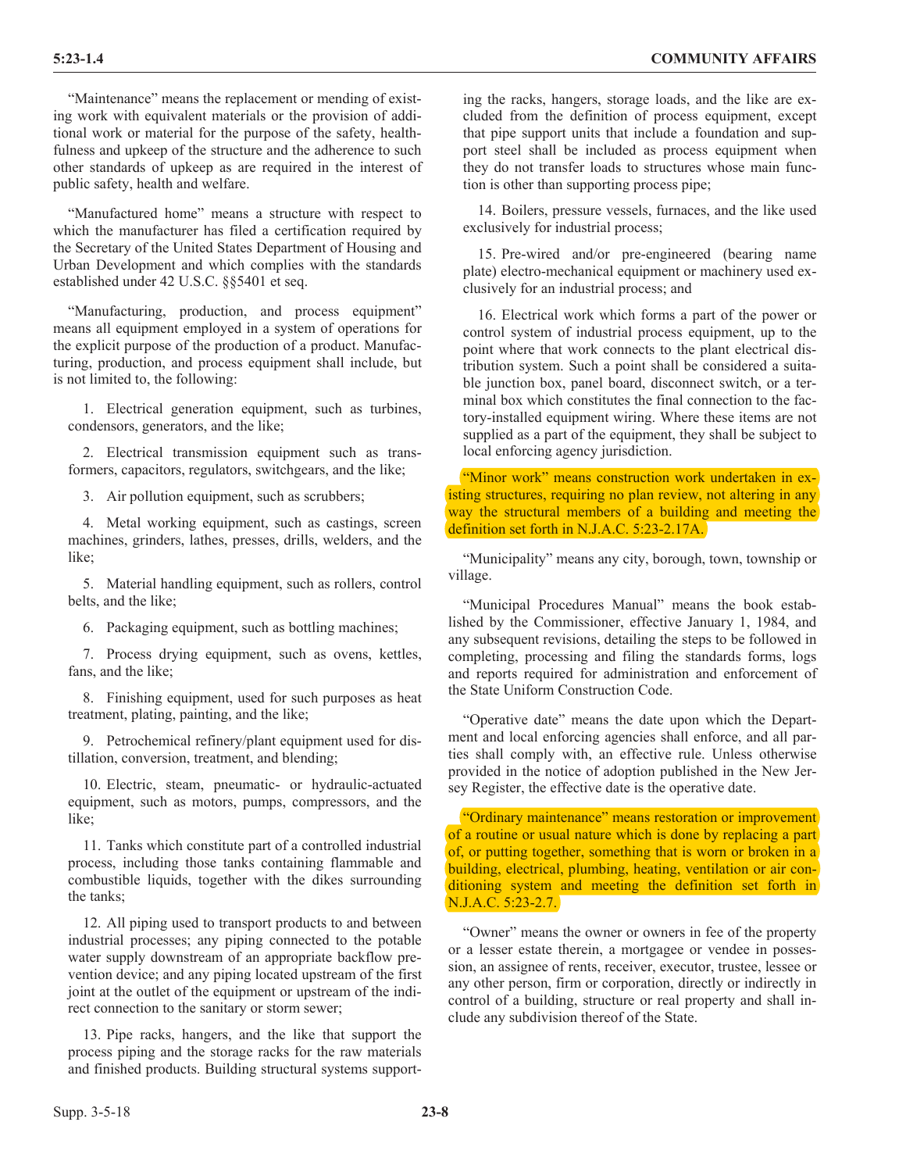"Maintenance" means the replacement or mending of existing work with equivalent materials or the provision of additional work or material for the purpose of the safety, healthfulness and upkeep of the structure and the adherence to such other standards of upkeep as are required in the interest of public safety, health and welfare.

"Manufactured home" means a structure with respect to which the manufacturer has filed a certification required by the Secretary of the United States Department of Housing and Urban Development and which complies with the standards established under 42 U.S.C. §§5401 et seq.

"Manufacturing, production, and process equipment" means all equipment employed in a system of operations for the explicit purpose of the production of a product. Manufacturing, production, and process equipment shall include, but is not limited to, the following:

1. Electrical generation equipment, such as turbines, condensors, generators, and the like;

2. Electrical transmission equipment such as transformers, capacitors, regulators, switchgears, and the like;

3. Air pollution equipment, such as scrubbers;

4. Metal working equipment, such as castings, screen machines, grinders, lathes, presses, drills, welders, and the like;

5. Material handling equipment, such as rollers, control belts, and the like;

6. Packaging equipment, such as bottling machines;

7. Process drying equipment, such as ovens, kettles, fans, and the like;

8. Finishing equipment, used for such purposes as heat treatment, plating, painting, and the like;

9. Petrochemical refinery/plant equipment used for distillation, conversion, treatment, and blending;

10. Electric, steam, pneumatic- or hydraulic-actuated equipment, such as motors, pumps, compressors, and the like;

11. Tanks which constitute part of a controlled industrial process, including those tanks containing flammable and combustible liquids, together with the dikes surrounding the tanks;

12. All piping used to transport products to and between industrial processes; any piping connected to the potable water supply downstream of an appropriate backflow prevention device; and any piping located upstream of the first joint at the outlet of the equipment or upstream of the indirect connection to the sanitary or storm sewer;

13. Pipe racks, hangers, and the like that support the process piping and the storage racks for the raw materials and finished products. Building structural systems supporting the racks, hangers, storage loads, and the like are excluded from the definition of process equipment, except that pipe support units that include a foundation and support steel shall be included as process equipment when they do not transfer loads to structures whose main function is other than supporting process pipe;

14. Boilers, pressure vessels, furnaces, and the like used exclusively for industrial process;

15. Pre-wired and/or pre-engineered (bearing name plate) electro-mechanical equipment or machinery used exclusively for an industrial process; and

16. Electrical work which forms a part of the power or control system of industrial process equipment, up to the point where that work connects to the plant electrical distribution system. Such a point shall be considered a suitable junction box, panel board, disconnect switch, or a terminal box which constitutes the final connection to the factory-installed equipment wiring. Where these items are not supplied as a part of the equipment, they shall be subject to local enforcing agency jurisdiction.

"Minor work" means construction work undertaken in existing structures, requiring no plan review, not altering in any way the structural members of a building and meeting the definition set forth in N.J.A.C. 5:23-2.17A.

"Municipality" means any city, borough, town, township or village.

"Municipal Procedures Manual" means the book established by the Commissioner, effective January 1, 1984, and any subsequent revisions, detailing the steps to be followed in completing, processing and filing the standards forms, logs and reports required for administration and enforcement of the State Uniform Construction Code.

"Operative date" means the date upon which the Department and local enforcing agencies shall enforce, and all parties shall comply with, an effective rule. Unless otherwise provided in the notice of adoption published in the New Jersey Register, the effective date is the operative date.

"Ordinary maintenance" means restoration or improvement of a routine or usual nature which is done by replacing a part of, or putting together, something that is worn or broken in a building, electrical, plumbing, heating, ventilation or air conditioning system and meeting the definition set forth in N.J.A.C. 5:23-2.7.

"Owner" means the owner or owners in fee of the property or a lesser estate therein, a mortgagee or vendee in possession, an assignee of rents, receiver, executor, trustee, lessee or any other person, firm or corporation, directly or indirectly in control of a building, structure or real property and shall include any subdivision thereof of the State.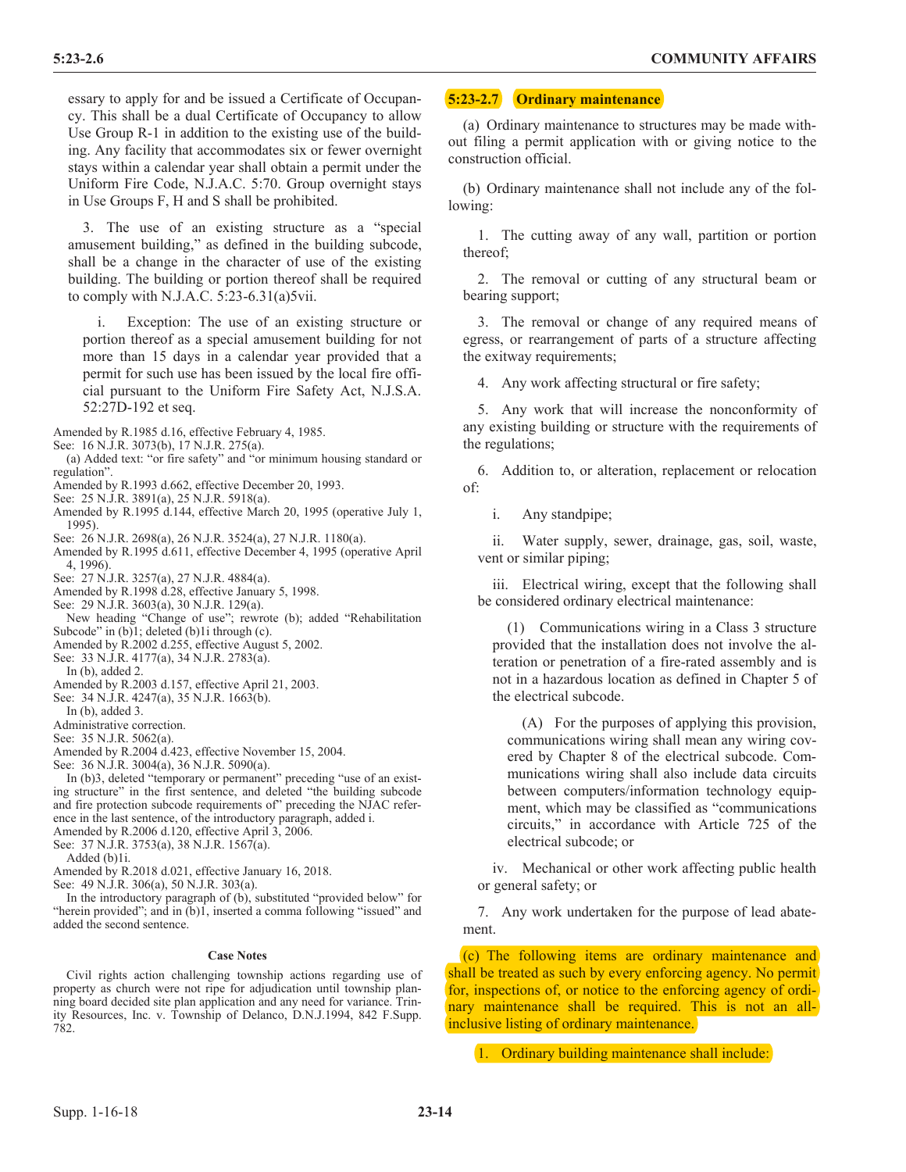essary to apply for and be issued a Certificate of Occupancy. This shall be a dual Certificate of Occupancy to allow Use Group R-1 in addition to the existing use of the building. Any facility that accommodates six or fewer overnight stays within a calendar year shall obtain a permit under the Uniform Fire Code, N.J.A.C. 5:70. Group overnight stays in Use Groups F, H and S shall be prohibited.

3. The use of an existing structure as a "special amusement building," as defined in the building subcode, shall be a change in the character of use of the existing building. The building or portion thereof shall be required to comply with N.J.A.C.  $5:23-6.31(a)5vii$ .

i. Exception: The use of an existing structure or portion thereof as a special amusement building for not more than 15 days in a calendar year provided that a permit for such use has been issued by the local fire official pursuant to the Uniform Fire Safety Act, N.J.S.A. 52:27D-192 et seq.

Amended by R.1985 d.16, effective February 4, 1985.

- See: 16 N.J.R. 3073(b), 17 N.J.R. 275(a).
- (a) Added text: "or fire safety" and "or minimum housing standard or regulation".
- Amended by R.1993 d.662, effective December 20, 1993.
- See: 25 N.J.R. 3891(a), 25 N.J.R. 5918(a).
- Amended by R.1995 d.144, effective March 20, 1995 (operative July 1, 1995).
- See: 26 N.J.R. 2698(a), 26 N.J.R. 3524(a), 27 N.J.R. 1180(a).
- Amended by R.1995 d.611, effective December 4, 1995 (operative April 4, 1996).
- See: 27 N.J.R. 3257(a), 27 N.J.R. 4884(a).
- Amended by R.1998 d.28, effective January 5, 1998.
- See: 29 N.J.R. 3603(a), 30 N.J.R. 129(a).
- New heading "Change of use"; rewrote (b); added "Rehabilitation Subcode" in (b)1; deleted (b)1i through (c).
- Amended by R.2002 d.255, effective August 5, 2002.
- See: 33 N.J.R. 4177(a), 34 N.J.R. 2783(a).
- In  $(b)$ , added 2.
- Amended by R.2003 d.157, effective April 21, 2003.
- See: 34 N.J.R. 4247(a), 35 N.J.R. 1663(b).
- In (b), added 3.
- Administrative correction.
- See: 35 N.J.R. 5062(a).
- Amended by R.2004 d.423, effective November 15, 2004.
- See: 36 N.J.R. 3004(a), 36 N.J.R. 5090(a).

In (b)3, deleted "temporary or permanent" preceding "use of an existing structure" in the first sentence, and deleted "the building subcode and fire protection subcode requirements of" preceding the NJAC reference in the last sentence, of the introductory paragraph, added i. Amended by R.2006 d.120, effective April 3, 2006.

See: 37 N.J.R. 3753(a), 38 N.J.R. 1567(a).

Added (b)1i.

Amended by R.2018 d.021, effective January 16, 2018.

See: 49 N.J.R. 306(a), 50 N.J.R. 303(a).

In the introductory paragraph of (b), substituted "provided below" for "herein provided"; and in (b)1, inserted a comma following "issued" and added the second sentence.

#### **Case Notes**

Civil rights action challenging township actions regarding use of property as church were not ripe for adjudication until township planning board decided site plan application and any need for variance. Trinity Resources, Inc. v. Township of Delanco, D.N.J.1994, 842 F.Supp. 782.

## **5:23-2.7 Ordinary maintenance**

(a) Ordinary maintenance to structures may be made without filing a permit application with or giving notice to the construction official.

(b) Ordinary maintenance shall not include any of the following:

1. The cutting away of any wall, partition or portion thereof;

2. The removal or cutting of any structural beam or bearing support;

3. The removal or change of any required means of egress, or rearrangement of parts of a structure affecting the exitway requirements;

4. Any work affecting structural or fire safety;

5. Any work that will increase the nonconformity of any existing building or structure with the requirements of the regulations;

6. Addition to, or alteration, replacement or relocation of:

i. Any standpipe;

ii. Water supply, sewer, drainage, gas, soil, waste, vent or similar piping;

iii. Electrical wiring, except that the following shall be considered ordinary electrical maintenance:

(1) Communications wiring in a Class 3 structure provided that the installation does not involve the alteration or penetration of a fire-rated assembly and is not in a hazardous location as defined in Chapter 5 of the electrical subcode.

(A) For the purposes of applying this provision, communications wiring shall mean any wiring covered by Chapter 8 of the electrical subcode. Communications wiring shall also include data circuits between computers/information technology equipment, which may be classified as "communications circuits," in accordance with Article 725 of the electrical subcode; or

iv. Mechanical or other work affecting public health or general safety; or

7. Any work undertaken for the purpose of lead abatement.

(c) The following items are ordinary maintenance and shall be treated as such by every enforcing agency. No permit for, inspections of, or notice to the enforcing agency of ordinary maintenance shall be required. This is not an allinclusive listing of ordinary maintenance.

1. Ordinary building maintenance shall include: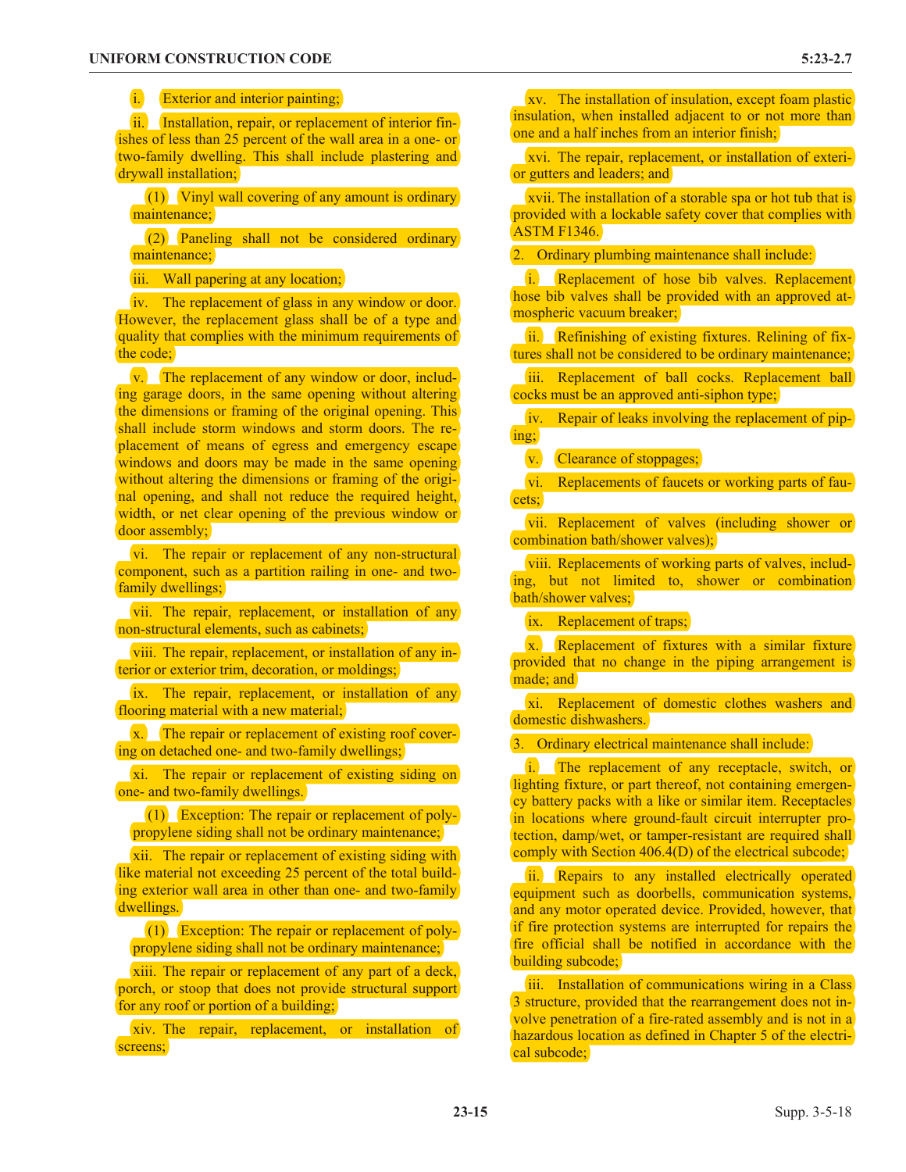i. Exterior and interior painting;

ii. Installation, repair, or replacement of interior finishes of less than 25 percent of the wall area in a one- or two-family dwelling. This shall include plastering and drywall installation;

(1) Vinyl wall covering of any amount is ordinary maintenance;

(2) Paneling shall not be considered ordinary maintenance;

iii. Wall papering at any location;

iv. The replacement of glass in any window or door. However, the replacement glass shall be of a type and quality that complies with the minimum requirements of the code;

v. The replacement of any window or door, including garage doors, in the same opening without altering the dimensions or framing of the original opening. This shall include storm windows and storm doors. The replacement of means of egress and emergency escape windows and doors may be made in the same opening without altering the dimensions or framing of the original opening, and shall not reduce the required height, width, or net clear opening of the previous window or door assembly;

vi. The repair or replacement of any non-structural component, such as a partition railing in one- and twofamily dwellings;

vii. The repair, replacement, or installation of any non-structural elements, such as cabinets;

viii. The repair, replacement, or installation of any interior or exterior trim, decoration, or moldings;

ix. The repair, replacement, or installation of any flooring material with a new material;

x. The repair or replacement of existing roof covering on detached one- and two-family dwellings;

xi. The repair or replacement of existing siding on one- and two-family dwellings.

(1) Exception: The repair or replacement of polypropylene siding shall not be ordinary maintenance;

xii. The repair or replacement of existing siding with like material not exceeding 25 percent of the total building exterior wall area in other than one- and two-family dwellings.

(1) Exception: The repair or replacement of polypropylene siding shall not be ordinary maintenance;

xiii. The repair or replacement of any part of a deck, porch, or stoop that does not provide structural support for any roof or portion of a building;

xiv. The repair, replacement, or installation of screens;

xv. The installation of insulation, except foam plastic insulation, when installed adjacent to or not more than one and a half inches from an interior finish;

xvi. The repair, replacement, or installation of exterior gutters and leaders; and

xvii. The installation of a storable spa or hot tub that is provided with a lockable safety cover that complies with ASTM F1346.

2. Ordinary plumbing maintenance shall include:

i. Replacement of hose bib valves. Replacement hose bib valves shall be provided with an approved atmospheric vacuum breaker;

ii. Refinishing of existing fixtures. Relining of fixtures shall not be considered to be ordinary maintenance;

iii. Replacement of ball cocks. Replacement ball cocks must be an approved anti-siphon type;

iv. Repair of leaks involving the replacement of piping;

v. Clearance of stoppages;

vi. Replacements of faucets or working parts of faucets;

vii. Replacement of valves (including shower or combination bath/shower valves);

viii. Replacements of working parts of valves, including, but not limited to, shower or combination bath/shower valves;

ix. Replacement of traps;

x. Replacement of fixtures with a similar fixture provided that no change in the piping arrangement is made; and

xi. Replacement of domestic clothes washers and domestic dishwashers.

3. Ordinary electrical maintenance shall include:

i. The replacement of any receptacle, switch, or lighting fixture, or part thereof, not containing emergency battery packs with a like or similar item. Receptacles in locations where ground-fault circuit interrupter protection, damp/wet, or tamper-resistant are required shall comply with Section 406.4(D) of the electrical subcode;

ii. Repairs to any installed electrically operated equipment such as doorbells, communication systems, and any motor operated device. Provided, however, that if fire protection systems are interrupted for repairs the fire official shall be notified in accordance with the building subcode;

iii. Installation of communications wiring in a Class 3 structure, provided that the rearrangement does not involve penetration of a fire-rated assembly and is not in a hazardous location as defined in Chapter 5 of the electrical subcode;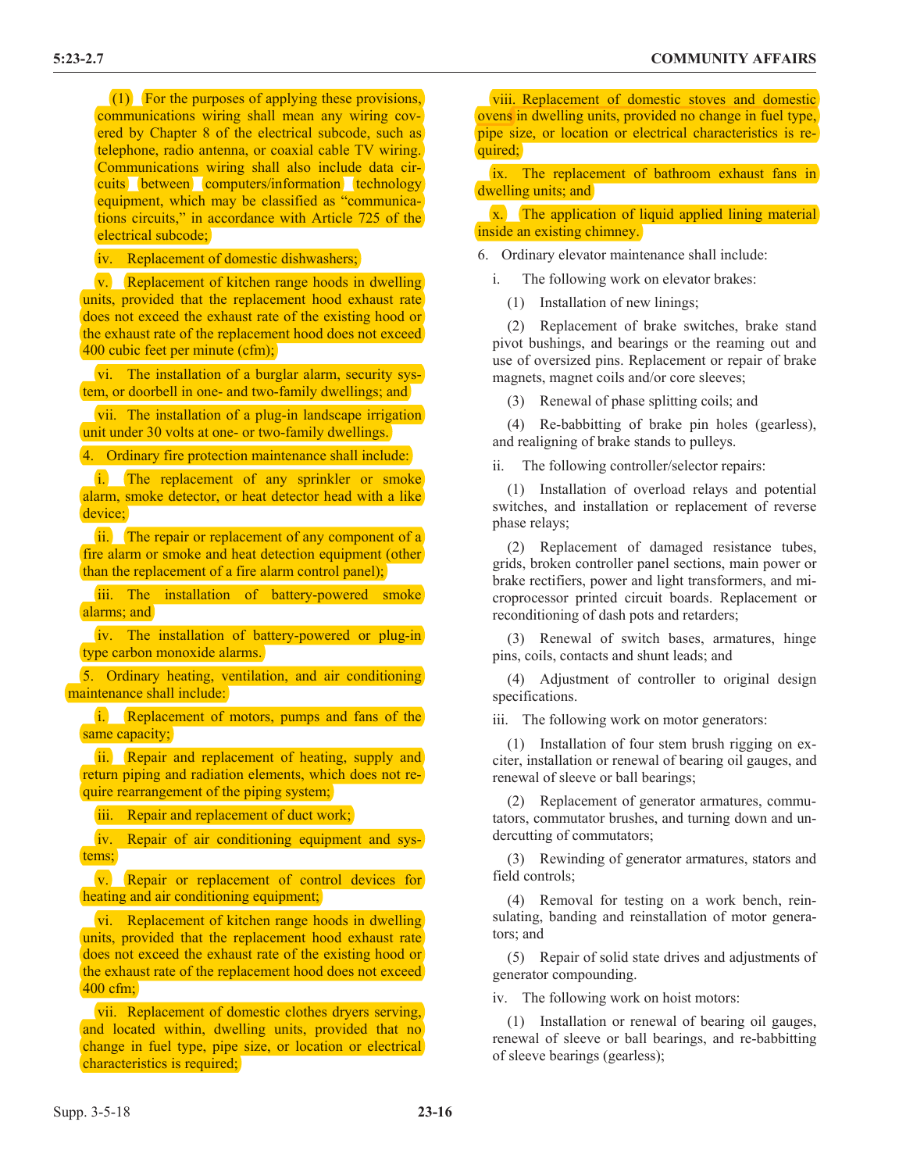(1) For the purposes of applying these provisions, communications wiring shall mean any wiring covered by Chapter 8 of the electrical subcode, such as telephone, radio antenna, or coaxial cable TV wiring. Communications wiring shall also include data circuits between computers/information technology equipment, which may be classified as "communications circuits," in accordance with Article 725 of the electrical subcode;

iv. Replacement of domestic dishwashers;

v. Replacement of kitchen range hoods in dwelling units, provided that the replacement hood exhaust rate does not exceed the exhaust rate of the existing hood or the exhaust rate of the replacement hood does not exceed 400 cubic feet per minute (cfm);

vi. The installation of a burglar alarm, security system, or doorbell in one- and two-family dwellings; and

vii. The installation of a plug-in landscape irrigation unit under 30 volts at one- or two-family dwellings.

4. Ordinary fire protection maintenance shall include:

i. The replacement of any sprinkler or smoke alarm, smoke detector, or heat detector head with a like device:

ii. The repair or replacement of any component of a fire alarm or smoke and heat detection equipment (other than the replacement of a fire alarm control panel);

iii. The installation of battery-powered smoke alarms; and

iv. The installation of battery-powered or plug-in type carbon monoxide alarms.

5. Ordinary heating, ventilation, and air conditioning maintenance shall include:

i. Replacement of motors, pumps and fans of the same capacity;

ii. Repair and replacement of heating, supply and return piping and radiation elements, which does not require rearrangement of the piping system;

iii. Repair and replacement of duct work;

iv. Repair of air conditioning equipment and systems;

v. Repair or replacement of control devices for heating and air conditioning equipment;

vi. Replacement of kitchen range hoods in dwelling units, provided that the replacement hood exhaust rate does not exceed the exhaust rate of the existing hood or the exhaust rate of the replacement hood does not exceed 400 cfm;

vii. Replacement of domestic clothes dryers serving, and located within, dwelling units, provided that no change in fuel type, pipe size, or location or electrical characteristics is required;

viii. Replacement of domestic stoves and domestic ovens in dwelling units, provided no change in fuel type, pipe size, or location or electrical characteristics is required:

ix. The replacement of bathroom exhaust fans in dwelling units; and

x. The application of liquid applied lining material inside an existing chimney.

6. Ordinary elevator maintenance shall include:

i. The following work on elevator brakes:

(1) Installation of new linings;

(2) Replacement of brake switches, brake stand pivot bushings, and bearings or the reaming out and use of oversized pins. Replacement or repair of brake magnets, magnet coils and/or core sleeves;

(3) Renewal of phase splitting coils; and

(4) Re-babbitting of brake pin holes (gearless), and realigning of brake stands to pulleys.

ii. The following controller/selector repairs:

(1) Installation of overload relays and potential switches, and installation or replacement of reverse phase relays;

(2) Replacement of damaged resistance tubes, grids, broken controller panel sections, main power or brake rectifiers, power and light transformers, and microprocessor printed circuit boards. Replacement or reconditioning of dash pots and retarders;

(3) Renewal of switch bases, armatures, hinge pins, coils, contacts and shunt leads; and

(4) Adjustment of controller to original design specifications.

iii. The following work on motor generators:

(1) Installation of four stem brush rigging on exciter, installation or renewal of bearing oil gauges, and renewal of sleeve or ball bearings;

(2) Replacement of generator armatures, commutators, commutator brushes, and turning down and undercutting of commutators;

(3) Rewinding of generator armatures, stators and field controls;

(4) Removal for testing on a work bench, reinsulating, banding and reinstallation of motor generators; and

(5) Repair of solid state drives and adjustments of generator compounding.

iv. The following work on hoist motors:

(1) Installation or renewal of bearing oil gauges, renewal of sleeve or ball bearings, and re-babbitting of sleeve bearings (gearless);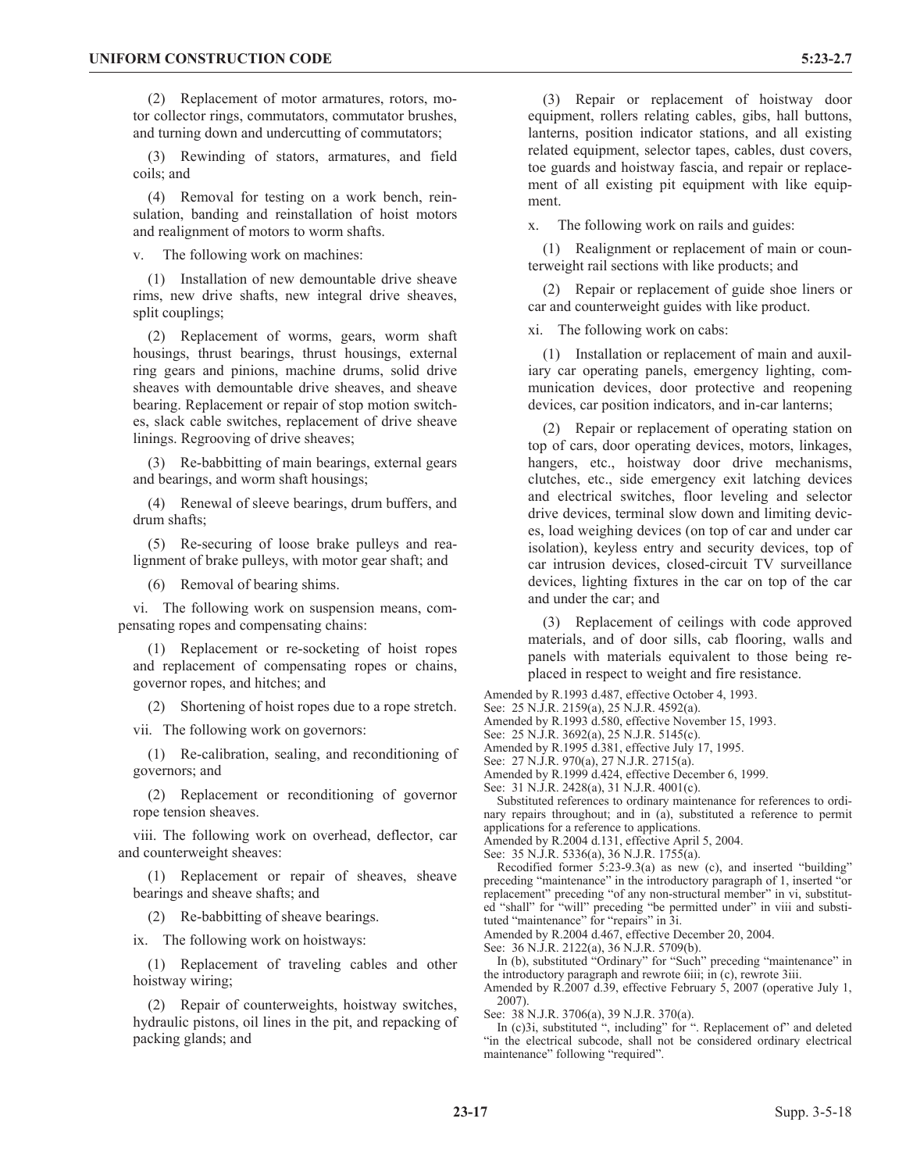(2) Replacement of motor armatures, rotors, motor collector rings, commutators, commutator brushes, and turning down and undercutting of commutators;

(3) Rewinding of stators, armatures, and field coils; and

(4) Removal for testing on a work bench, reinsulation, banding and reinstallation of hoist motors and realignment of motors to worm shafts.

v. The following work on machines:

(1) Installation of new demountable drive sheave rims, new drive shafts, new integral drive sheaves, split couplings;

(2) Replacement of worms, gears, worm shaft housings, thrust bearings, thrust housings, external ring gears and pinions, machine drums, solid drive sheaves with demountable drive sheaves, and sheave bearing. Replacement or repair of stop motion switches, slack cable switches, replacement of drive sheave linings. Regrooving of drive sheaves;

(3) Re-babbitting of main bearings, external gears and bearings, and worm shaft housings;

(4) Renewal of sleeve bearings, drum buffers, and drum shafts;

(5) Re-securing of loose brake pulleys and realignment of brake pulleys, with motor gear shaft; and

(6) Removal of bearing shims.

vi. The following work on suspension means, compensating ropes and compensating chains:

(1) Replacement or re-socketing of hoist ropes and replacement of compensating ropes or chains, governor ropes, and hitches; and

(2) Shortening of hoist ropes due to a rope stretch.

vii. The following work on governors:

(1) Re-calibration, sealing, and reconditioning of governors; and

(2) Replacement or reconditioning of governor rope tension sheaves.

viii. The following work on overhead, deflector, car and counterweight sheaves:

(1) Replacement or repair of sheaves, sheave bearings and sheave shafts; and

(2) Re-babbitting of sheave bearings.

ix. The following work on hoistways:

(1) Replacement of traveling cables and other hoistway wiring;

(2) Repair of counterweights, hoistway switches, hydraulic pistons, oil lines in the pit, and repacking of packing glands; and

(3) Repair or replacement of hoistway door equipment, rollers relating cables, gibs, hall buttons, lanterns, position indicator stations, and all existing related equipment, selector tapes, cables, dust covers, toe guards and hoistway fascia, and repair or replacement of all existing pit equipment with like equipment.

x. The following work on rails and guides:

(1) Realignment or replacement of main or counterweight rail sections with like products; and

(2) Repair or replacement of guide shoe liners or car and counterweight guides with like product.

xi. The following work on cabs:

(1) Installation or replacement of main and auxiliary car operating panels, emergency lighting, communication devices, door protective and reopening devices, car position indicators, and in-car lanterns;

(2) Repair or replacement of operating station on top of cars, door operating devices, motors, linkages, hangers, etc., hoistway door drive mechanisms, clutches, etc., side emergency exit latching devices and electrical switches, floor leveling and selector drive devices, terminal slow down and limiting devices, load weighing devices (on top of car and under car isolation), keyless entry and security devices, top of car intrusion devices, closed-circuit TV surveillance devices, lighting fixtures in the car on top of the car and under the car; and

(3) Replacement of ceilings with code approved materials, and of door sills, cab flooring, walls and panels with materials equivalent to those being replaced in respect to weight and fire resistance.

Amended by R.1993 d.487, effective October 4, 1993.

See: 25 N.J.R. 2159(a), 25 N.J.R. 4592(a).

Amended by R.1993 d.580, effective November 15, 1993.

See: 25 N.J.R. 3692(a), 25 N.J.R. 5145(c).

Amended by R.1995 d.381, effective July 17, 1995.

See: 27 N.J.R. 970(a), 27 N.J.R. 2715(a).

Amended by R.1999 d.424, effective December 6, 1999. See: 31 N.J.R. 2428(a), 31 N.J.R. 4001(c).

Substituted references to ordinary maintenance for references to ordinary repairs throughout; and in (a), substituted a reference to permit applications for a reference to applications.

Amended by R.2004 d.131, effective April 5, 2004.

See: 35 N.J.R. 5336(a), 36 N.J.R. 1755(a).

Recodified former 5:23-9.3(a) as new (c), and inserted "building" preceding "maintenance" in the introductory paragraph of 1, inserted "or replacement" preceding "of any non-structural member" in vi, substituted "shall" for "will" preceding "be permitted under" in viii and substituted "maintenance" for "repairs" in 3i.

Amended by R.2004 d.467, effective December 20, 2004.

See: 36 N.J.R. 2122(a), 36 N.J.R. 5709(b).

In (b), substituted "Ordinary" for "Such" preceding "maintenance" in the introductory paragraph and rewrote 6iii; in (c), rewrote 3iii.

Amended by R.2007 d.39, effective February 5, 2007 (operative July 1, 2007).

See: 38 N.J.R. 3706(a), 39 N.J.R. 370(a).

In (c)3i, substituted ", including" for ". Replacement of" and deleted "in the electrical subcode, shall not be considered ordinary electrical maintenance" following "required".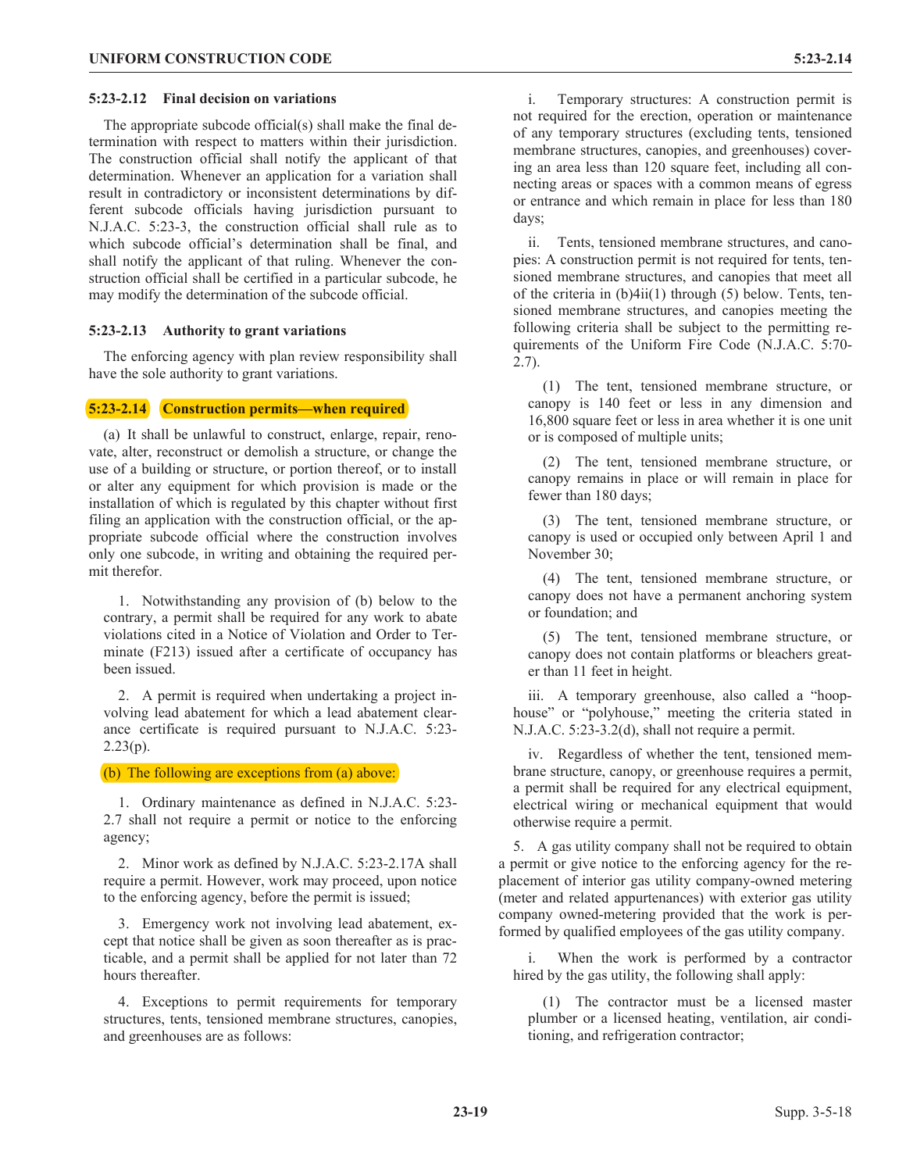#### **5:23-2.12 Final decision on variations**

The appropriate subcode official(s) shall make the final determination with respect to matters within their jurisdiction. The construction official shall notify the applicant of that determination. Whenever an application for a variation shall result in contradictory or inconsistent determinations by different subcode officials having jurisdiction pursuant to N.J.A.C. 5:23-3, the construction official shall rule as to which subcode official's determination shall be final, and shall notify the applicant of that ruling. Whenever the construction official shall be certified in a particular subcode, he may modify the determination of the subcode official.

#### **5:23-2.13 Authority to grant variations**

The enforcing agency with plan review responsibility shall have the sole authority to grant variations.

#### **5:23-2.14 Construction permits—when required**

(a) It shall be unlawful to construct, enlarge, repair, renovate, alter, reconstruct or demolish a structure, or change the use of a building or structure, or portion thereof, or to install or alter any equipment for which provision is made or the installation of which is regulated by this chapter without first filing an application with the construction official, or the appropriate subcode official where the construction involves only one subcode, in writing and obtaining the required permit therefor.

1. Notwithstanding any provision of (b) below to the contrary, a permit shall be required for any work to abate violations cited in a Notice of Violation and Order to Terminate (F213) issued after a certificate of occupancy has been issued.

2. A permit is required when undertaking a project involving lead abatement for which a lead abatement clearance certificate is required pursuant to N.J.A.C. 5:23-  $2.23(p)$ .

(b) The following are exceptions from (a) above:

1. Ordinary maintenance as defined in N.J.A.C. 5:23- 2.7 shall not require a permit or notice to the enforcing agency;

2. Minor work as defined by N.J.A.C. 5:23-2.17A shall require a permit. However, work may proceed, upon notice to the enforcing agency, before the permit is issued;

3. Emergency work not involving lead abatement, except that notice shall be given as soon thereafter as is practicable, and a permit shall be applied for not later than 72 hours thereafter.

4. Exceptions to permit requirements for temporary structures, tents, tensioned membrane structures, canopies, and greenhouses are as follows:

i. Temporary structures: A construction permit is not required for the erection, operation or maintenance of any temporary structures (excluding tents, tensioned membrane structures, canopies, and greenhouses) covering an area less than 120 square feet, including all connecting areas or spaces with a common means of egress or entrance and which remain in place for less than 180 days;

ii. Tents, tensioned membrane structures, and canopies: A construction permit is not required for tents, tensioned membrane structures, and canopies that meet all of the criteria in (b)4ii(1) through (5) below. Tents, tensioned membrane structures, and canopies meeting the following criteria shall be subject to the permitting requirements of the Uniform Fire Code (N.J.A.C. 5:70- 2.7).

(1) The tent, tensioned membrane structure, or canopy is 140 feet or less in any dimension and 16,800 square feet or less in area whether it is one unit or is composed of multiple units;

(2) The tent, tensioned membrane structure, or canopy remains in place or will remain in place for fewer than 180 days;

(3) The tent, tensioned membrane structure, or canopy is used or occupied only between April 1 and November 30;

(4) The tent, tensioned membrane structure, or canopy does not have a permanent anchoring system or foundation; and

(5) The tent, tensioned membrane structure, or canopy does not contain platforms or bleachers greater than 11 feet in height.

iii. A temporary greenhouse, also called a "hoophouse" or "polyhouse," meeting the criteria stated in N.J.A.C. 5:23-3.2(d), shall not require a permit.

iv. Regardless of whether the tent, tensioned membrane structure, canopy, or greenhouse requires a permit, a permit shall be required for any electrical equipment, electrical wiring or mechanical equipment that would otherwise require a permit.

5. A gas utility company shall not be required to obtain a permit or give notice to the enforcing agency for the replacement of interior gas utility company-owned metering (meter and related appurtenances) with exterior gas utility company owned-metering provided that the work is performed by qualified employees of the gas utility company.

When the work is performed by a contractor hired by the gas utility, the following shall apply:

(1) The contractor must be a licensed master plumber or a licensed heating, ventilation, air conditioning, and refrigeration contractor;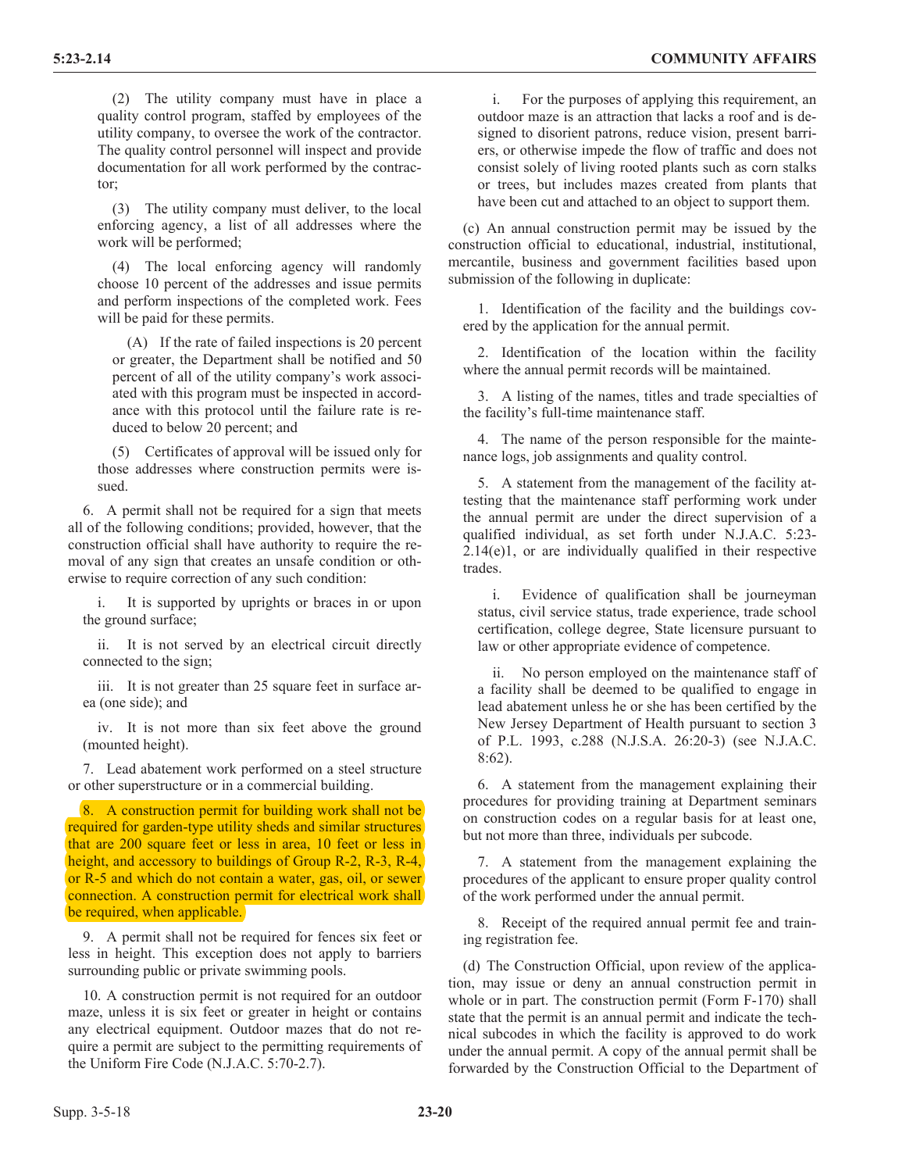(2) The utility company must have in place a quality control program, staffed by employees of the utility company, to oversee the work of the contractor. The quality control personnel will inspect and provide documentation for all work performed by the contractor;

(3) The utility company must deliver, to the local enforcing agency, a list of all addresses where the work will be performed;

(4) The local enforcing agency will randomly choose 10 percent of the addresses and issue permits and perform inspections of the completed work. Fees will be paid for these permits.

(A) If the rate of failed inspections is 20 percent or greater, the Department shall be notified and 50 percent of all of the utility company's work associated with this program must be inspected in accordance with this protocol until the failure rate is reduced to below 20 percent; and

(5) Certificates of approval will be issued only for those addresses where construction permits were issued.

6. A permit shall not be required for a sign that meets all of the following conditions; provided, however, that the construction official shall have authority to require the removal of any sign that creates an unsafe condition or otherwise to require correction of any such condition:

i. It is supported by uprights or braces in or upon the ground surface;

ii. It is not served by an electrical circuit directly connected to the sign;

iii. It is not greater than 25 square feet in surface area (one side); and

iv. It is not more than six feet above the ground (mounted height).

7. Lead abatement work performed on a steel structure or other superstructure or in a commercial building.

8. A construction permit for building work shall not be required for garden-type utility sheds and similar structures that are 200 square feet or less in area, 10 feet or less in height, and accessory to buildings of Group R-2, R-3, R-4, or R-5 and which do not contain a water, gas, oil, or sewer connection. A construction permit for electrical work shall be required, when applicable.

9. A permit shall not be required for fences six feet or less in height. This exception does not apply to barriers surrounding public or private swimming pools.

10. A construction permit is not required for an outdoor maze, unless it is six feet or greater in height or contains any electrical equipment. Outdoor mazes that do not require a permit are subject to the permitting requirements of the Uniform Fire Code (N.J.A.C. 5:70-2.7).

i. For the purposes of applying this requirement, an outdoor maze is an attraction that lacks a roof and is designed to disorient patrons, reduce vision, present barriers, or otherwise impede the flow of traffic and does not consist solely of living rooted plants such as corn stalks or trees, but includes mazes created from plants that have been cut and attached to an object to support them.

(c) An annual construction permit may be issued by the construction official to educational, industrial, institutional, mercantile, business and government facilities based upon submission of the following in duplicate:

1. Identification of the facility and the buildings covered by the application for the annual permit.

2. Identification of the location within the facility where the annual permit records will be maintained.

3. A listing of the names, titles and trade specialties of the facility's full-time maintenance staff.

4. The name of the person responsible for the maintenance logs, job assignments and quality control.

5. A statement from the management of the facility attesting that the maintenance staff performing work under the annual permit are under the direct supervision of a qualified individual, as set forth under N.J.A.C. 5:23- 2.14(e)1, or are individually qualified in their respective trades.

i. Evidence of qualification shall be journeyman status, civil service status, trade experience, trade school certification, college degree, State licensure pursuant to law or other appropriate evidence of competence.

ii. No person employed on the maintenance staff of a facility shall be deemed to be qualified to engage in lead abatement unless he or she has been certified by the New Jersey Department of Health pursuant to section 3 of P.L. 1993, c.288 (N.J.S.A. 26:20-3) (see N.J.A.C. 8:62).

6. A statement from the management explaining their procedures for providing training at Department seminars on construction codes on a regular basis for at least one, but not more than three, individuals per subcode.

7. A statement from the management explaining the procedures of the applicant to ensure proper quality control of the work performed under the annual permit.

8. Receipt of the required annual permit fee and training registration fee.

(d) The Construction Official, upon review of the application, may issue or deny an annual construction permit in whole or in part. The construction permit (Form F-170) shall state that the permit is an annual permit and indicate the technical subcodes in which the facility is approved to do work under the annual permit. A copy of the annual permit shall be forwarded by the Construction Official to the Department of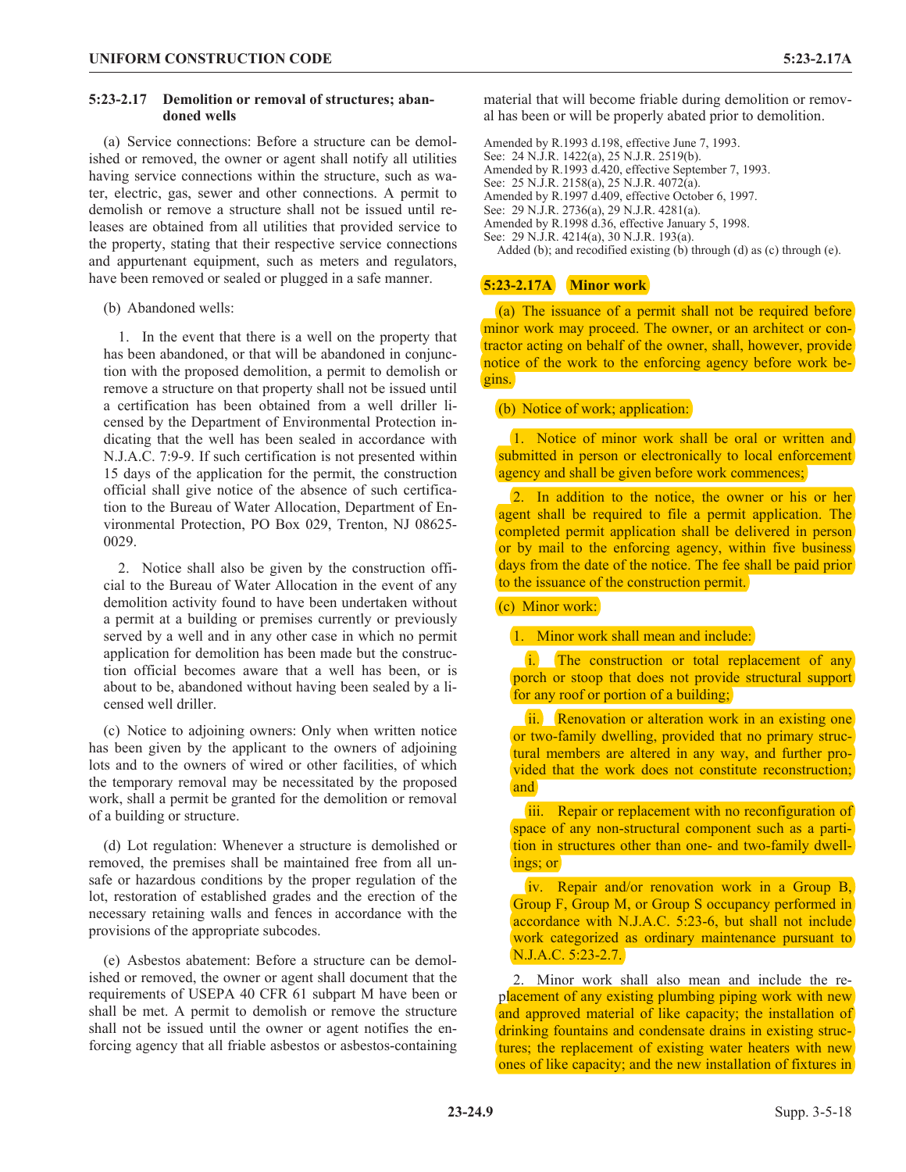#### **5:23-2.17 Demolition or removal of structures; abandoned wells**

(a) Service connections: Before a structure can be demolished or removed, the owner or agent shall notify all utilities having service connections within the structure, such as water, electric, gas, sewer and other connections. A permit to demolish or remove a structure shall not be issued until releases are obtained from all utilities that provided service to the property, stating that their respective service connections and appurtenant equipment, such as meters and regulators, have been removed or sealed or plugged in a safe manner.

(b) Abandoned wells:

1. In the event that there is a well on the property that has been abandoned, or that will be abandoned in conjunction with the proposed demolition, a permit to demolish or remove a structure on that property shall not be issued until a certification has been obtained from a well driller licensed by the Department of Environmental Protection indicating that the well has been sealed in accordance with N.J.A.C. 7:9-9. If such certification is not presented within 15 days of the application for the permit, the construction official shall give notice of the absence of such certification to the Bureau of Water Allocation, Department of Environmental Protection, PO Box 029, Trenton, NJ 08625- 0029.

2. Notice shall also be given by the construction official to the Bureau of Water Allocation in the event of any demolition activity found to have been undertaken without a permit at a building or premises currently or previously served by a well and in any other case in which no permit application for demolition has been made but the construction official becomes aware that a well has been, or is about to be, abandoned without having been sealed by a licensed well driller.

(c) Notice to adjoining owners: Only when written notice has been given by the applicant to the owners of adjoining lots and to the owners of wired or other facilities, of which the temporary removal may be necessitated by the proposed work, shall a permit be granted for the demolition or removal of a building or structure.

(d) Lot regulation: Whenever a structure is demolished or removed, the premises shall be maintained free from all unsafe or hazardous conditions by the proper regulation of the lot, restoration of established grades and the erection of the necessary retaining walls and fences in accordance with the provisions of the appropriate subcodes.

(e) Asbestos abatement: Before a structure can be demolished or removed, the owner or agent shall document that the requirements of USEPA 40 CFR 61 subpart M have been or shall be met. A permit to demolish or remove the structure shall not be issued until the owner or agent notifies the enforcing agency that all friable asbestos or asbestos-containing material that will become friable during demolition or removal has been or will be properly abated prior to demolition.

Amended by R.1993 d.198, effective June 7, 1993. See: 24 N.J.R. 1422(a), 25 N.J.R. 2519(b). Amended by R.1993 d.420, effective September 7, 1993. See: 25 N.J.R. 2158(a), 25 N.J.R. 4072(a). Amended by R.1997 d.409, effective October 6, 1997. See: 29 N.J.R. 2736(a), 29 N.J.R. 4281(a). Amended by R.1998 d.36, effective January 5, 1998. See: 29 N.J.R. 4214(a), 30 N.J.R. 193(a). Added (b); and recodified existing (b) through (d) as (c) through (e).

## **5:23-2.17A Minor work**

(a) The issuance of a permit shall not be required before minor work may proceed. The owner, or an architect or contractor acting on behalf of the owner, shall, however, provide notice of the work to the enforcing agency before work begins.

#### (b) Notice of work; application:

1. Notice of minor work shall be oral or written and submitted in person or electronically to local enforcement agency and shall be given before work commences;

2. In addition to the notice, the owner or his or her agent shall be required to file a permit application. The completed permit application shall be delivered in person or by mail to the enforcing agency, within five business days from the date of the notice. The fee shall be paid prior to the issuance of the construction permit.

## (c) Minor work:

#### 1. Minor work shall mean and include:

i. The construction or total replacement of any porch or stoop that does not provide structural support for any roof or portion of a building;

ii. Renovation or alteration work in an existing one or two-family dwelling, provided that no primary structural members are altered in any way, and further provided that the work does not constitute reconstruction; and

iii. Repair or replacement with no reconfiguration of space of any non-structural component such as a partition in structures other than one- and two-family dwellings; or

iv. Repair and/or renovation work in a Group B, Group F, Group M, or Group S occupancy performed in accordance with N.J.A.C. 5:23-6, but shall not include work categorized as ordinary maintenance pursuant to N.J.A.C. 5:23-2.7.

2. Minor work shall also mean and include the replacement of any existing plumbing piping work with new and approved material of like capacity; the installation of drinking fountains and condensate drains in existing structures; the replacement of existing water heaters with new ones of like capacity; and the new installation of fixtures in